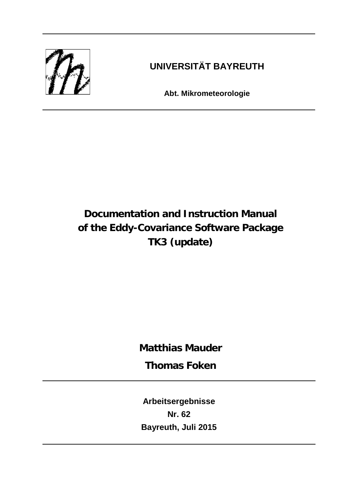

# **UNIVERSITÄT BAYREUTH**

**Abt. Mikrometeorologie**

# **Documentation and Instruction Manual of the Eddy-Covariance Software Package TK3 (update)**

**Matthias Mauder**

**Thomas Foken**

**Arbeitsergebnisse Nr. 62 Bayreuth, Juli 2015**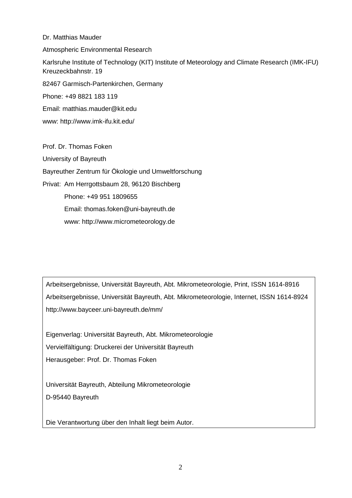## Dr. Matthias Mauder

Atmospheric Environmental Research

Karlsruhe Institute of Technology (KIT) Institute of Meteorology and Climate Research (IMK-IFU) Kreuzeckbahnstr. 19

82467 Garmisch-Partenkirchen, Germany

Phone: +49 8821 183 119

Email: [matthias.mauder@kit.edu](mailto:matthias.mauder@kit.edu)

www:<http://www.imk-ifu.kit.edu/>

Prof. Dr. Thomas Foken University of Bayreuth Bayreuther Zentrum für Ökologie und Umweltforschung Privat: Am Herrgottsbaum 28, 96120 Bischberg Phone: +49 951 1809655 Email: thomas.foken@uni-bayreuth.de www: http://www.micrometeorology.de

Arbeitsergebnisse, Universität Bayreuth, Abt. Mikrometeorologie, Print, ISSN 1614-8916 Arbeitsergebnisse, Universität Bayreuth, Abt. Mikrometeorologie, Internet, ISSN 1614-8924 http://www.bayceer.uni-bayreuth.de/mm/

Eigenverlag: Universität Bayreuth, Abt. Mikrometeorologie Vervielfältigung: Druckerei der Universität Bayreuth Herausgeber: Prof. Dr. Thomas Foken

Universität Bayreuth, Abteilung Mikrometeorologie D-95440 Bayreuth

Die Verantwortung über den Inhalt liegt beim Autor.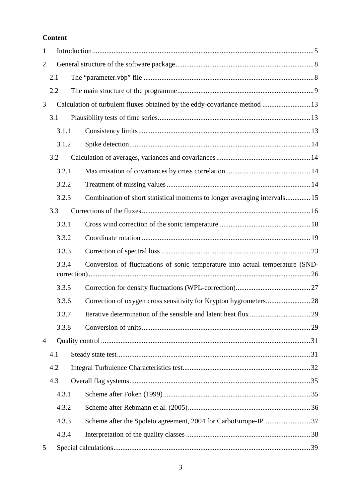# **Content**

| 1              |     |       |                                                                               |  |
|----------------|-----|-------|-------------------------------------------------------------------------------|--|
| $\overline{2}$ |     |       |                                                                               |  |
|                | 2.1 |       |                                                                               |  |
|                | 2.2 |       |                                                                               |  |
| 3              |     |       | Calculation of turbulent fluxes obtained by the eddy-covariance method  13    |  |
|                | 3.1 |       |                                                                               |  |
|                |     | 3.1.1 |                                                                               |  |
|                |     | 3.1.2 |                                                                               |  |
|                | 3.2 |       |                                                                               |  |
|                |     | 3.2.1 |                                                                               |  |
|                |     | 3.2.2 |                                                                               |  |
|                |     | 3.2.3 | Combination of short statistical moments to longer averaging intervals 15     |  |
|                | 3.3 |       |                                                                               |  |
|                |     | 3.3.1 |                                                                               |  |
|                |     | 3.3.2 |                                                                               |  |
|                |     | 3.3.3 |                                                                               |  |
|                |     | 3.3.4 | Conversion of fluctuations of sonic temperature into actual temperature (SND- |  |
|                |     |       |                                                                               |  |
|                |     | 3.3.5 |                                                                               |  |
|                |     | 3.3.6 |                                                                               |  |
|                |     | 3.3.7 |                                                                               |  |
|                |     | 3.3.8 |                                                                               |  |
| $\overline{4}$ |     |       |                                                                               |  |
|                | 4.1 |       |                                                                               |  |
|                | 4.2 |       |                                                                               |  |
|                | 4.3 |       |                                                                               |  |
|                |     | 4.3.1 |                                                                               |  |
|                |     | 4.3.2 |                                                                               |  |
|                |     | 4.3.3 | Scheme after the Spoleto agreement, 2004 for CarboEurope-IP 37                |  |
|                |     | 4.3.4 |                                                                               |  |
| 5              |     |       |                                                                               |  |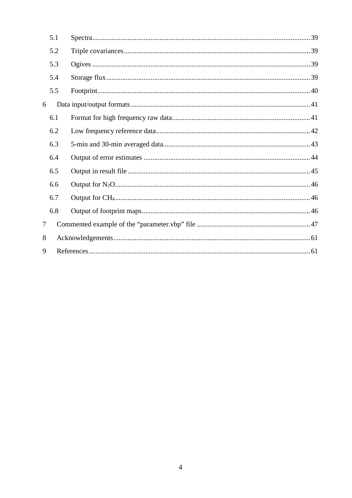|        | 5.1 |  |
|--------|-----|--|
|        | 5.2 |  |
|        | 5.3 |  |
|        | 5.4 |  |
|        | 5.5 |  |
| 6      |     |  |
|        | 6.1 |  |
|        | 6.2 |  |
|        | 6.3 |  |
|        | 6.4 |  |
|        | 6.5 |  |
|        | 6.6 |  |
|        | 6.7 |  |
|        | 6.8 |  |
| $\tau$ |     |  |
| 8      |     |  |
| 9      |     |  |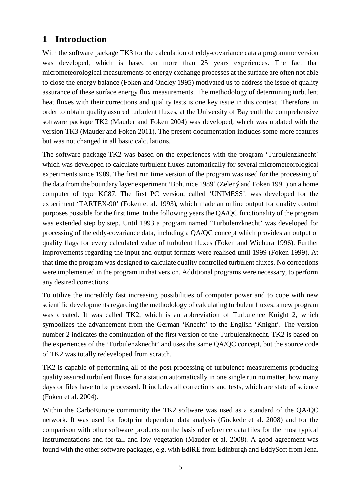# <span id="page-4-0"></span>**1 Introduction**

With the software package TK3 for the calculation of eddy-covariance data a programme version was developed, which is based on more than 25 years experiences. The fact that micrometeorological measurements of energy exchange processes at the surface are often not able to close the energy balance [\(Foken and Oncley 1995\)](#page-60-2) motivated us to address the issue of quality assurance of these surface energy flux measurements. The methodology of determining turbulent heat fluxes with their corrections and quality tests is one key issue in this context. Therefore, in order to obtain quality assured turbulent fluxes, at the University of Bayreuth the comprehensive software package TK2 [\(Mauder and Foken 2004\)](#page-62-0) was developed, which was updated with the version TK3 [\(Mauder and Foken 2011\)](#page-62-1). The present documentation includes some more features but was not changed in all basic calculations.

The software package TK2 was based on the experiences with the program 'Turbulenzknecht' which was developed to calculate turbulent fluxes automatically for several micrometeorological experiments since 1989. The first run time version of the program was used for the processing of the data from the boundary layer experiment 'Bohunice 1989' [\(Zelený and Foken 1991\)](#page-63-0) on a home computer of type KC87. The first PC version, called 'UNIMESS', was developed for the experiment 'TARTEX-90' [\(Foken et al. 1993\)](#page-60-3), which made an online output for quality control purposes possible for the first time. In the following years the QA/QC functionality of the program was extended step by step. Until 1993 a program named 'Turbulenzknecht' was developed for processing of the eddy-covariance data, including a QA/QC concept which provides an output of quality flags for every calculated value of turbulent fluxes [\(Foken and Wichura 1996\)](#page-60-4). Further improvements regarding the input and output formats were realised until 1999 [\(Foken 1999\)](#page-60-5). At that time the program was designed to calculate quality controlled turbulent fluxes. No corrections were implemented in the program in that version. Additional programs were necessary, to perform any desired corrections.

To utilize the incredibly fast increasing possibilities of computer power and to cope with new scientific developments regarding the methodology of calculating turbulent fluxes, a new program was created. It was called TK2, which is an abbreviation of Turbulence Knight 2, which symbolizes the advancement from the German 'Knecht' to the English 'Knight'. The version number 2 indicates the continuation of the first version of the Turbulenzknecht. TK2 is based on the experiences of the 'Turbulenzknecht' and uses the same QA/QC concept, but the source code of TK2 was totally redeveloped from scratch.

TK2 is capable of performing all of the post processing of turbulence measurements producing quality assured turbulent fluxes for a station automatically in one single run no matter, how many days or files have to be processed. It includes all corrections and tests, which are state of science [\(Foken et al. 2004\)](#page-60-6).

Within the CarboEurope community the TK2 software was used as a standard of the QA/QC network. It was used for footprint dependent data analysis [\(Göckede et al. 2008\)](#page-61-0) and for the comparison with other software products on the basis of reference data files for the most typical instrumentations and for tall and low vegetation [\(Mauder et al. 2008\)](#page-62-2). A good agreement was found with the other software packages, e.g. with EdiRE from Edinburgh and EddySoft from Jena.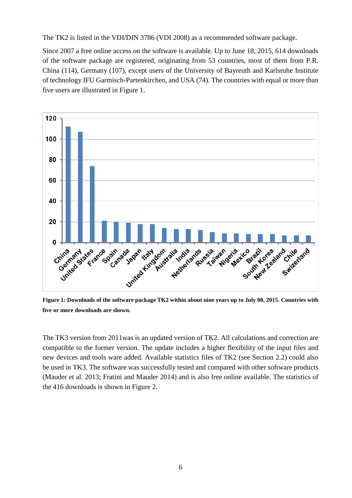The TK2 is listed in the VDI/DIN 3786 [\(VDI 2008\)](#page-63-1) as a recommended software package.

Since 2007 a free online access on the software is available. Up to June 18, 2015, 614 downloads of the software package are registered, originating from 53 countries, most of them from P.R. China (114), Germany (107), except users of the University of Bayreuth and Karlsruhe Institute of technology IFU Garmisch-Partenkirchen, and USA (74). The countries with equal or more than five users are illustrated in Figure 1.



**Figure 1: Downloads of the software package TK2 within about nine years up to July 08, 2015. Countries with five or more downloads are shown.** 

The TK3 version from 2011was is an updated version of TK2. All calculations and correction are compatible to the former version. The update includes a higher flexibility of the input files and new devices and tools ware added. Available statistics files of TK2 (see Section 2.2) could also be used in TK3. The software was successfully tested and compared with other software products [\(Mauder et al. 2013;](#page-62-3) [Fratini and Mauder 2014\)](#page-61-1) and is also free online available. The statistics of the 416 downloads is shown in Figure 2.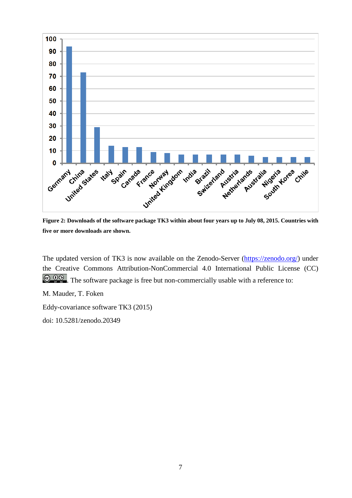![](_page_6_Figure_0.jpeg)

**Figure 2: Downloads of the software package TK3 within about four years up to July 08, 2015. Countries with five or more downloads are shown.** 

The updated version of TK3 is now available on the Zenodo-Server [\(https://zenodo.org/\)](https://zenodo.org/) under the Creative Commons Attribution-NonCommercial 4.0 International Public License (CC)  $\bigcirc$   $\bigcirc$   $\bigcirc$   $\bigcirc$   $\bigcirc$ . The software package is free but non-commercially usable with a reference to:

M. Mauder, T. Foken

Eddy-covariance software TK3 (2015)

doi: 10.5281/zenodo.20349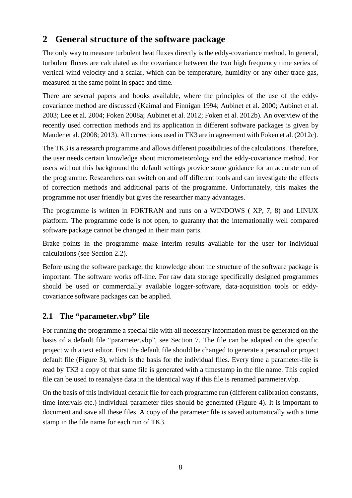# <span id="page-7-0"></span>**2 General structure of the software package**

The only way to measure turbulent heat fluxes directly is the eddy-covariance method. In general, turbulent fluxes are calculated as the covariance between the two high frequency time series of vertical wind velocity and a scalar, which can be temperature, humidity or any other trace gas, measured at the same point in space and time.

There are several papers and books available, where the principles of the use of the eddycovariance method are discussed [\(Kaimal and Finnigan 1994;](#page-62-4) [Aubinet et al. 2000;](#page-60-7) [Aubinet et al.](#page-60-8)  [2003;](#page-60-8) [Lee et al. 2004;](#page-62-5) [Foken 2008a;](#page-60-9) [Aubinet et al. 2012;](#page-60-10) [Foken et al. 2012b\)](#page-61-2). An overview of the recently used correction methods and its application in different software packages is given by Mauder et al. [\(2008;](#page-62-2) [2013\)](#page-62-3). All corrections used in TK3 are in agreement with Foken et al. [\(2012c\)](#page-61-3).

The TK3 is a research programme and allows different possibilities of the calculations. Therefore, the user needs certain knowledge about micrometeorology and the eddy-covariance method. For users without this background the default settings provide some guidance for an accurate run of the programme. Researchers can switch on and off different tools and can investigate the effects of correction methods and additional parts of the programme. Unfortunately, this makes the programme not user friendly but gives the researcher many advantages.

The programme is written in FORTRAN and runs on a WINDOWS ( XP, 7, 8) and LINUX platform. The programme code is not open, to guaranty that the internationally well compared software package cannot be changed in their main parts.

Brake points in the programme make interim results available for the user for individual calculations (see Section 2.2).

Before using the software package, the knowledge about the structure of the software package is important. The software works off-line. For raw data storage specifically designed programmes should be used or commercially available logger-software, data-acquisition tools or eddycovariance software packages can be applied.

# <span id="page-7-1"></span>**2.1 The "parameter.vbp" file**

For running the programme a special file with all necessary information must be generated on the basis of a default file "parameter.vbp", see Section [7.](#page-46-0) The file can be adapted on the specific project with a text editor. First the default file should be changed to generate a personal or project default file (Figure 3), which is the basis for the individual files. Every time a parameter-file is read by TK3 a copy of that same file is generated with a timestamp in the file name. This copied file can be used to reanalyse data in the identical way if this file is renamed parameter.vbp.

On the basis of this individual default file for each programme run (different calibration constants, time intervals etc.) individual parameter files should be generated (Figure 4). It is important to document and save all these files. A copy of the parameter file is saved automatically with a time stamp in the file name for each run of TK3.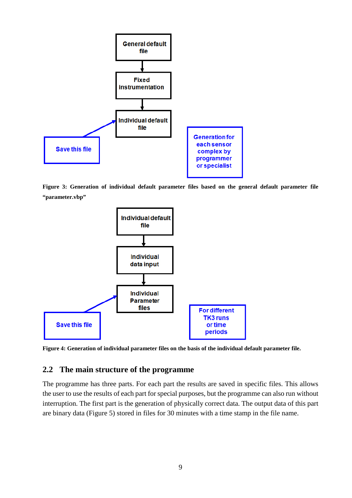![](_page_8_Figure_0.jpeg)

**Figure 3: Generation of individual default parameter files based on the general default parameter file "parameter.vbp"**

![](_page_8_Figure_2.jpeg)

<span id="page-8-0"></span>**Figure 4: Generation of individual parameter files on the basis of the individual default parameter file.**

# **2.2 The main structure of the programme**

The programme has three parts. For each part the results are saved in specific files. This allows the user to use the results of each part for special purposes, but the programme can also run without interruption. The first part is the generation of physically correct data. The output data of this part are binary data (Figure 5) stored in files for 30 minutes with a time stamp in the file name.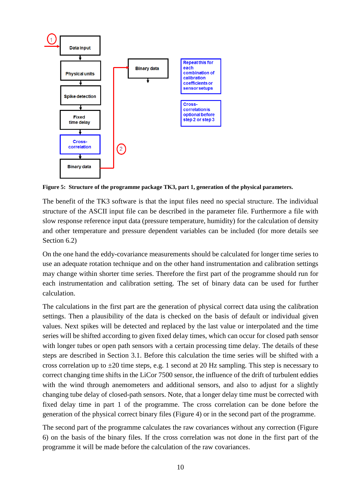![](_page_9_Figure_0.jpeg)

**Figure 5: Structure of the programme package TK3, part 1, generation of the physical parameters.**

The benefit of the TK3 software is that the input files need no special structure. The individual structure of the ASCII input file can be described in the parameter file. Furthermore a file with slow response reference input data (pressure temperature, humidity) for the calculation of density and other temperature and pressure dependent variables can be included (for more details see Section [6.2\)](#page-41-0)

On the one hand the eddy-covariance measurements should be calculated for longer time series to use an adequate rotation technique and on the other hand instrumentation and calibration settings may change within shorter time series. Therefore the first part of the programme should run for each instrumentation and calibration setting. The set of binary data can be used for further calculation.

The calculations in the first part are the generation of physical correct data using the calibration settings. Then a plausibility of the data is checked on the basis of default or individual given values. Next spikes will be detected and replaced by the last value or interpolated and the time series will be shifted according to given fixed delay times, which can occur for closed path sensor with longer tubes or open path sensors with a certain processing time delay. The details of these steps are described in Section 3.1. Before this calculation the time series will be shifted with a cross correlation up to  $\pm 20$  time steps, e.g. 1 second at 20 Hz sampling. This step is necessary to correct changing time shifts in the LiCor 7500 sensor, the influence of the drift of turbulent eddies with the wind through anemometers and additional sensors, and also to adjust for a slightly changing tube delay of closed-path sensors. Note, that a longer delay time must be corrected with fixed delay time in part 1 of the programme. The cross correlation can be done before the generation of the physical correct binary files (Figure 4) or in the second part of the programme.

The second part of the programme calculates the raw covariances without any correction (Figure 6) on the basis of the binary files. If the cross correlation was not done in the first part of the programme it will be made before the calculation of the raw covariances.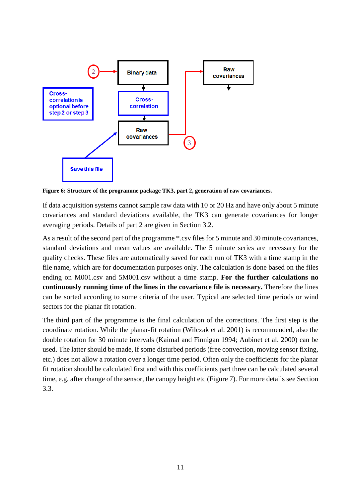![](_page_10_Figure_0.jpeg)

**Figure 6: Structure of the programme package TK3, part 2, generation of raw covariances.**

If data acquisition systems cannot sample raw data with 10 or 20 Hz and have only about 5 minute covariances and standard deviations available, the TK3 can generate covariances for longer averaging periods. Details of part 2 are given in Section 3.2.

As a result of the second part of the programme \*.csv files for 5 minute and 30 minute covariances, standard deviations and mean values are available. The 5 minute series are necessary for the quality checks. These files are automatically saved for each run of TK3 with a time stamp in the file name, which are for documentation purposes only. The calculation is done based on the files ending on M001.csv and 5M001.csv without a time stamp. **For the further calculations no continuously running time of the lines in the covariance file is necessary.** Therefore the lines can be sorted according to some criteria of the user. Typical are selected time periods or wind sectors for the planar fit rotation.

The third part of the programme is the final calculation of the corrections. The first step is the coordinate rotation. While the planar-fit rotation [\(Wilczak et al. 2001\)](#page-63-2) is recommended, also the double rotation for 30 minute intervals [\(Kaimal and Finnigan 1994;](#page-62-4) [Aubinet et al. 2000\)](#page-60-7) can be used. The latter should be made, if some disturbed periods (free convection, moving sensor fixing, etc.) does not allow a rotation over a longer time period. Often only the coefficients for the planar fit rotation should be calculated first and with this coefficients part three can be calculated several time, e.g. after change of the sensor, the canopy height etc (Figure 7). For more details see Section 3.3.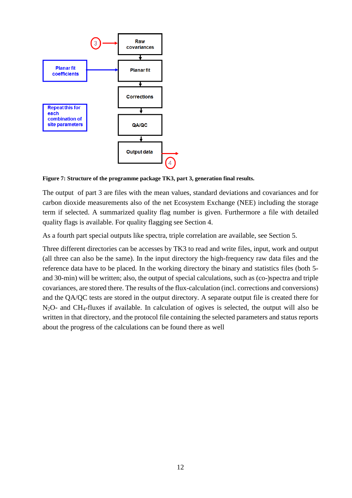![](_page_11_Figure_0.jpeg)

**Figure 7: Structure of the programme package TK3, part 3, generation final results.**

The output of part 3 are files with the mean values, standard deviations and covariances and for carbon dioxide measurements also of the net Ecosystem Exchange (NEE) including the storage term if selected. A summarized quality flag number is given. Furthermore a file with detailed quality flags is available. For quality flagging see Section 4.

As a fourth part special outputs like spectra, triple correlation are available, see Section [5.](#page-38-0)

Three different directories can be accesses by TK3 to read and write files, input, work and output (all three can also be the same). In the input directory the high-frequency raw data files and the reference data have to be placed. In the working directory the binary and statistics files (both 5 and 30-min) will be written; also, the output of special calculations, such as (co-)spectra and triple covariances, are stored there. The results of the flux-calculation (incl. corrections and conversions) and the QA/QC tests are stored in the output directory. A separate output file is created there for N2O- and CH4-fluxes if available. In calculation of ogives is selected, the output will also be written in that directory, and the protocol file containing the selected parameters and status reports about the progress of the calculations can be found there as well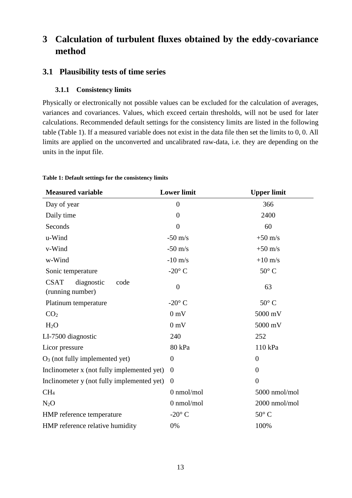# <span id="page-12-0"></span>**3 Calculation of turbulent fluxes obtained by the eddy-covariance method**

# <span id="page-12-2"></span><span id="page-12-1"></span>**3.1 Plausibility tests of time series**

# **3.1.1 Consistency limits**

Physically or electronically not possible values can be excluded for the calculation of averages, variances and covariances. Values, which exceed certain thresholds, will not be used for later calculations. Recommended default settings for the consistency limits are listed in the following table [\(Table 1\)](#page-12-3). If a measured variable does not exist in the data file then set the limits to 0, 0. All limits are applied on the unconverted and uncalibrated raw-data, i.e. they are depending on the units in the input file.

| <b>Measured variable</b>                              | <b>Lower limit</b> | <b>Upper limit</b> |
|-------------------------------------------------------|--------------------|--------------------|
| Day of year                                           | $\overline{0}$     | 366                |
| Daily time                                            | $\overline{0}$     | 2400               |
| Seconds                                               | $\overline{0}$     | 60                 |
| u-Wind                                                | $-50$ m/s          | $+50$ m/s          |
| v-Wind                                                | $-50$ m/s          | $+50$ m/s          |
| w-Wind                                                | $-10$ m/s          | $+10$ m/s          |
| Sonic temperature                                     | -20 $^{\circ}$ C   | $50^{\circ}$ C     |
| <b>CSAT</b><br>diagnostic<br>code<br>(running number) | $\overline{0}$     | 63                 |
| Platinum temperature                                  | $-20^\circ$ C      | $50^{\circ}$ C     |
| CO <sub>2</sub>                                       | 0 <sub>m</sub>     | 5000 mV            |
| H <sub>2</sub> O                                      | 0 <sub>m</sub>     | 5000 mV            |
| LI-7500 diagnostic                                    | 240                | 252                |
| Licor pressure                                        | 80 kPa             | 110 kPa            |
| $O3$ (not fully implemented yet)                      | $\theta$           | $\overline{0}$     |
| Inclinometer x (not fully implemented yet)            | $\theta$           | $\overline{0}$     |
| Inclinemeter y (not fully implemented yet)            | $\theta$           | $\theta$           |
| CH <sub>4</sub>                                       | $0$ nmol/mol       | 5000 nmol/mol      |
| $N_2O$                                                | 0 nmol/mol         | 2000 nmol/mol      |
| HMP reference temperature                             | $-20^\circ$ C      | $50^{\circ}$ C     |
| HMP reference relative humidity                       | 0%                 | 100%               |

### <span id="page-12-3"></span>**Table 1: Default settings for the consistency limits**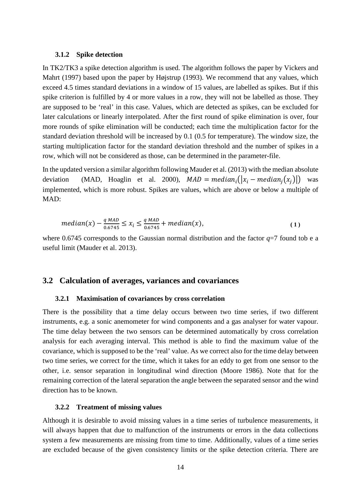#### <span id="page-13-0"></span>**3.1.2 Spike detection**

In TK2/TK3 a spike detection algorithm is used. The algorithm follows the paper by Vickers and Mahrt [\(1997\)](#page-63-3) based upon the paper by Højstrup [\(1993\)](#page-61-4). We recommend that any values, which exceed 4.5 times standard deviations in a window of 15 values, are labelled as spikes. But if this spike criterion is fulfilled by 4 or more values in a row, they will not be labelled as those. They are supposed to be 'real' in this case. Values, which are detected as spikes, can be excluded for later calculations or linearly interpolated. After the first round of spike elimination is over, four more rounds of spike elimination will be conducted; each time the multiplication factor for the standard deviation threshold will be increased by 0.1 (0.5 for temperature). The window size, the starting multiplication factor for the standard deviation threshold and the number of spikes in a row, which will not be considered as those, can be determined in the parameter-file.

In the updated version a similar algorithm following Mauder et al. [\(2013\)](#page-62-3) with the median absolute deviation [\(MAD, Hoaglin et al. 2000\)](#page-61-5),  $MAD = median_i(|x_i - median_i(x_i)|)$  was implemented, which is more robust. Spikes are values, which are above or below a multiple of  $MAD$ 

$$
median(x) - \frac{q \text{ MAD}}{0.6745} \le x_i \le \frac{q \text{ MAD}}{0.6745} + median(x),
$$
\n(1)

where 0.6745 corresponds to the Gaussian normal distribution and the factor  $q=7$  found tob e a useful limit [\(Mauder et al. 2013\)](#page-62-3).

#### <span id="page-13-2"></span><span id="page-13-1"></span>**3.2 Calculation of averages, variances and covariances**

#### **3.2.1 Maximisation of covariances by cross correlation**

There is the possibility that a time delay occurs between two time series, if two different instruments, e.g. a sonic anemometer for wind components and a gas analyser for water vapour. The time delay between the two sensors can be determined automatically by cross correlation analysis for each averaging interval. This method is able to find the maximum value of the covariance, which is supposed to be the 'real' value. As we correct also for the time delay between two time series, we correct for the time, which it takes for an eddy to get from one sensor to the other, i.e. sensor separation in longitudinal wind direction [\(Moore 1986\)](#page-62-6). Note that for the remaining correction of the lateral separation the angle between the separated sensor and the wind direction has to be known.

### <span id="page-13-3"></span>**3.2.2 Treatment of missing values**

Although it is desirable to avoid missing values in a time series of turbulence measurements, it will always happen that due to malfunction of the instruments or errors in the data collections system a few measurements are missing from time to time. Additionally, values of a time series are excluded because of the given consistency limits or the spike detection criteria. There are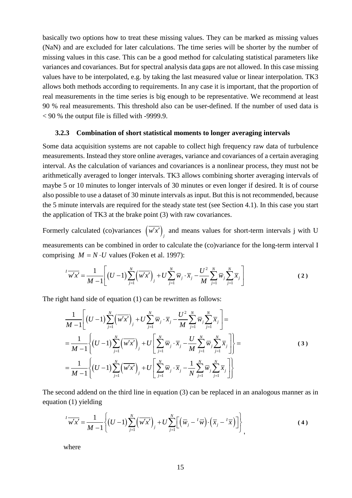basically two options how to treat these missing values. They can be marked as missing values (NaN) and are excluded for later calculations. The time series will be shorter by the number of missing values in this case. This can be a good method for calculating statistical parameters like variances and covariances. But for spectral analysis data gaps are not allowed. In this case missing values have to be interpolated, e.g. by taking the last measured value or linear interpolation. TK3 allows both methods according to requirements. In any case it is important, that the proportion of real measurements in the time series is big enough to be representative. We recommend at least 90 % real measurements. This threshold also can be user-defined. If the number of used data is < 90 % the output file is filled with -9999.9.

### <span id="page-14-0"></span>**3.2.3 Combination of short statistical moments to longer averaging intervals**

Some data acquisition systems are not capable to collect high frequency raw data of turbulence measurements. Instead they store online averages, variance and covariances of a certain averaging interval. As the calculation of variances and covariances is a nonlinear process, they must not be arithmetically averaged to longer intervals. TK3 allows combining shorter averaging intervals of maybe 5 or 10 minutes to longer intervals of 30 minutes or even longer if desired. It is of course also possible to use a dataset of 30 minute intervals as input. But this is not recommended, because the 5 minute intervals are required for the steady state test (see Section 4.1). In this case you start the application of TK3 at the brake point (3) with raw covariances.

Formerly calculated (co)variances  $(w'x')$ <sub>*j*</sub> and means values for short-term intervals j with U measurements can be combined in order to calculate the (co)variance for the long-term interval I comprising  $M = N \cdot U$  values [\(Foken et al. 1997\)](#page-60-11):

$$
{}^{I}\overline{w'x'} = \frac{1}{M-1} \left[ (U-1) \sum_{j=1}^{N} (\overline{w'x'})_{j} + U \sum_{j=1}^{N} \overline{w}_{j} \cdot \overline{x}_{j} - \frac{U^{2}}{M} \sum_{j=1}^{N} \overline{w}_{j} \sum_{j=1}^{N} \overline{x}_{j} \right]
$$
(2)

The right hand side of equation (1) can be rewritten as follows:

$$
\frac{1}{M-1}\left[(U-1)\sum_{j=1}^{N}(\overline{w'x'})_{j} + U\sum_{j=1}^{N}\overline{w}_{j} \cdot \overline{x}_{j} - \frac{U^{2}}{M}\sum_{j=1}^{N}\overline{w}_{j}\sum_{j=1}^{N}\overline{x}_{j}\right] = \n= \frac{1}{M-1}\left\{(U-1)\sum_{j=1}^{N}(\overline{w'x'})_{j} + U\left[\sum_{j=1}^{N}\overline{w}_{j} \cdot \overline{x}_{j} - \frac{U}{M}\sum_{j=1}^{N}\overline{w}_{j}\sum_{j=1}^{N}\overline{x}_{j}\right]\right\} = \n= \frac{1}{M-1}\left\{(U-1)\sum_{j=1}^{N}(\overline{w'x'})_{j} + U\left[\sum_{j=1}^{N}\overline{w}_{j} \cdot \overline{x}_{j} - \frac{1}{N}\sum_{j=1}^{N}\overline{w}_{j}\sum_{j=1}^{N}\overline{x}_{j}\right]\right\}
$$
\n(3)

The second addend on the third line in equation (3) can be replaced in an analogous manner as in equation (1) yielding

$$
\overline{W'x'} = \frac{1}{M-1} \left\{ (U-1) \sum_{j=1}^{N} (\overline{w'x'})_{j} + U \sum_{j=1}^{N} \left[ (\overline{w}_{j} - {^{I}\overline{w}}) \cdot (\overline{x}_{j} - {^{I}\overline{x}}) \right] \right\},
$$
(4)

where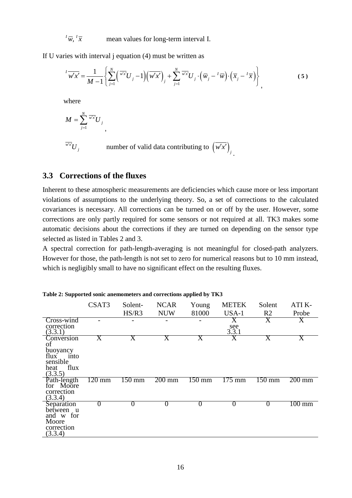mean values for long-term interval I.  $\overline{W}$ ,  $\overline{X}$ 

If U varies with interval j equation (4) must be written as

$$
\overline{W'x'} = \frac{1}{M-1} \left\{ \sum_{j=1}^{N} \left( \overline{w'x} U_j - 1 \right) \left( \overline{w'x'} \right)_j + \sum_{j=1}^{N} \overline{w'x} U_j \cdot \left( \overline{w}_j - \overline{w} \right) \cdot \left( \overline{x}_j - \overline{x} \right) \right\},
$$
(5)

where

$$
M=\sum_{j=1}^N\overline{^{w'x'}}U_j
$$

 $\overline{w'x'}$ *U j* 

 $\overline{w'}U_j$  number of valid data contributing to  $(\overline{w'x'})_j$ .

# <span id="page-15-0"></span>**3.3 Corrections of the fluxes**

,

Inherent to these atmospheric measurements are deficiencies which cause more or less important violations of assumptions to the underlying theory. So, a set of corrections to the calculated covariances is necessary. All corrections can be turned on or off by the user. However, some corrections are only partly required for some sensors or not required at all. TK3 makes some automatic decisions about the corrections if they are turned on depending on the sensor type selected as listed in Tables 2 and 3.

A spectral correction for path-length-averaging is not meaningful for closed-path analyzers. However for those, the path-length is not set to zero for numerical reasons but to 10 mm instead, which is negligibly small to have no significant effect on the resulting fluxes.

|                                                                                     | CSAT3               | Solent-          | <b>NCAR</b>             | Young            | <b>METEK</b>     | Solent              | ATI K-                  |
|-------------------------------------------------------------------------------------|---------------------|------------------|-------------------------|------------------|------------------|---------------------|-------------------------|
|                                                                                     |                     | HS/R3            | <b>NUW</b>              | 81000            | USA-1            | R <sub>2</sub>      | Probe                   |
| Cross-wind                                                                          |                     |                  |                         |                  | X                | X                   | X                       |
| correction<br>(3.3.1)                                                               |                     |                  |                         |                  | see<br>3.3.1     |                     |                         |
| Conversion<br>οf<br>buoyancy<br>flux<br>into<br>sensible<br>flux<br>heat<br>(3.3.5) | X                   | Х                | $\overline{\mathrm{X}}$ | Χ                | X                | X                   | $\overline{\mathrm{X}}$ |
| Path-length<br>for Moore<br>correction<br>(3.3.4)                                   | $\overline{120}$ mm | $150 \text{ mm}$ | $200 \,\mathrm{mm}$     | $150 \text{ mm}$ | $175 \text{ mm}$ | $\overline{150}$ mm | $200 \text{ mm}$        |
| Separation<br>between u<br>and w for<br>Moore<br>correction<br>(3.3.4)              | $\theta$            | 0                | $\theta$                |                  | $\theta$         | 0                   | $100 \text{ mm}$        |

**Table 2: Supported sonic anemometers and corrections applied by TK3**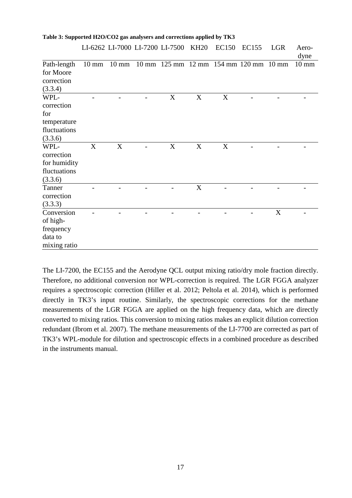**Table 3: Supported H2O/CO2 gas analysers and corrections applied by TK3** 

|                                                                     |                 |   | LI-6262 LI-7000 LI-7200 LI-7500 KH20         |   | EC150       | <b>EC155</b> | <b>LGR</b> | Aero-<br>dyne   |
|---------------------------------------------------------------------|-----------------|---|----------------------------------------------|---|-------------|--------------|------------|-----------------|
| Path-length<br>for Moore<br>correction<br>(3.3.4)                   | $10 \text{ mm}$ |   | 10 mm 10 mm 125 mm 12 mm 154 mm 120 mm 10 mm |   |             |              |            | $10 \text{ mm}$ |
| WPL-<br>correction<br>for<br>temperature<br>fluctuations<br>(3.3.6) |                 |   | X                                            | X | $\mathbf X$ |              |            |                 |
| WPL-<br>correction<br>for humidity<br>fluctuations<br>(3.3.6)       | X               | X | X                                            | X | $\mathbf X$ |              |            |                 |
| Tanner<br>correction<br>(3.3.3)                                     |                 |   |                                              | X |             |              |            |                 |
| Conversion<br>of high-<br>frequency<br>data to<br>mixing ratio      |                 |   |                                              |   |             |              | X          |                 |

The LI-7200, the EC155 and the Aerodyne QCL output mixing ratio/dry mole fraction directly. Therefore, no additional conversion nor WPL-correction is required. The LGR FGGA analyzer requires a spectroscopic correction [\(Hiller et al. 2012;](#page-61-6) [Peltola et al. 2014\)](#page-62-7), which is performed directly in TK3's input routine. Similarly, the spectroscopic corrections for the methane measurements of the LGR FGGA are applied on the high frequency data, which are directly converted to mixing ratios. This conversion to mixing ratios makes an explicit dilution correction redundant [\(Ibrom et al. 2007\)](#page-61-7). The methane measurements of the LI-7700 are corrected as part of TK3's WPL-module for dilution and spectroscopic effects in a combined procedure as described in the instruments manual.

17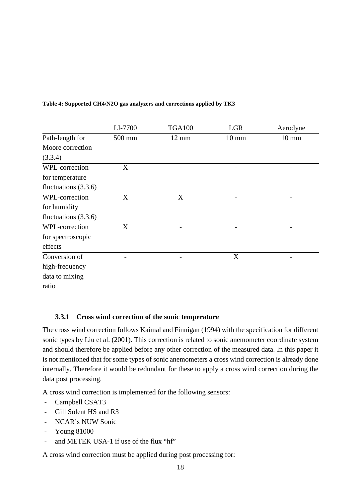|                        | LI-7700 | <b>TGA100</b>   | <b>LGR</b>      | Aerodyne        |
|------------------------|---------|-----------------|-----------------|-----------------|
| Path-length for        | 500 mm  | $12 \text{ mm}$ | $10 \text{ mm}$ | $10 \text{ mm}$ |
| Moore correction       |         |                 |                 |                 |
| (3.3.4)                |         |                 |                 |                 |
| WPL-correction         | X       |                 |                 |                 |
| for temperature        |         |                 |                 |                 |
| fluctuations $(3.3.6)$ |         |                 |                 |                 |
| WPL-correction         | X       | X               |                 |                 |
| for humidity           |         |                 |                 |                 |
| fluctuations $(3.3.6)$ |         |                 |                 |                 |
| WPL-correction         | X       |                 |                 |                 |
| for spectroscopic      |         |                 |                 |                 |
| effects                |         |                 |                 |                 |
| Conversion of          |         |                 | X               |                 |
| high-frequency         |         |                 |                 |                 |
| data to mixing         |         |                 |                 |                 |
| ratio                  |         |                 |                 |                 |

### **Table 4: Supported CH4/N2O gas analyzers and corrections applied by TK3**

# <span id="page-17-0"></span>**3.3.1 Cross wind correction of the sonic temperature**

The cross wind correction follows Kaimal and Finnigan [\(1994\)](#page-62-4) with the specification for different sonic types by Liu et al. [\(2001\)](#page-62-8). This correction is related to sonic anemometer coordinate system and should therefore be applied before any other correction of the measured data. In this paper it is not mentioned that for some types of sonic anemometers a cross wind correction is already done internally. Therefore it would be redundant for these to apply a cross wind correction during the data post processing.

A cross wind correction is implemented for the following sensors:

- Campbell CSAT3
- Gill Solent HS and R3
- NCAR's NUW Sonic
- Young 81000
- and METEK USA-1 if use of the flux "hf"

A cross wind correction must be applied during post processing for: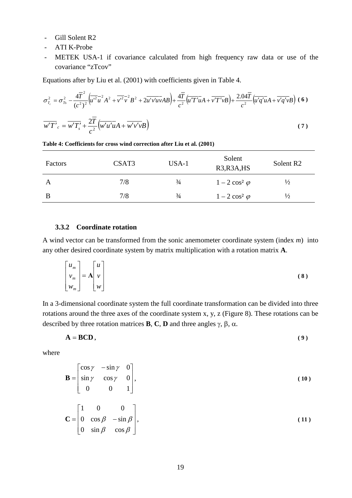- Gill Solent R2
- ATI K-Probe
- METEK USA-1 if covariance calculated from high frequency raw data or use of the covariance "zTcov"

Equations after by Liu et al. [\(2001\)](#page-62-8) with coefficients given in Table 4.

$$
\sigma_{T_c}^2 = \sigma_{T_s}^2 - \frac{4\overline{T}^2}{(c^2)^2} \left( \overline{u'^2 u^2} A^2 + \overline{v'^2 v^2} B^2 + 2\overline{u' v' u v} AB \right) + \frac{4\overline{T}}{c^2} \left( \overline{u' T' u} A + \overline{v' T' v} B \right) + \frac{2.04\overline{T}}{c^2} \left( \overline{u' q' u} A + \overline{v' q' v} B \right) (6)
$$
  

$$
\overline{w' T'}_c = \overline{w' T'_s} + \frac{2\overline{T}}{c^2} \left( \overline{w' u' u} A + \overline{w' v' v} B \right)
$$
 (7)

| Factors | CSAT <sub>3</sub> | USA-1         | Solent<br>R3, R3A, HS | Solent R <sub>2</sub> |
|---------|-------------------|---------------|-----------------------|-----------------------|
| A       | 7/8               | $\frac{3}{4}$ | $1-2\cos^2\varphi$    | $\frac{1}{2}$         |
| B       | 7/8               | $\frac{3}{4}$ | $1-2\cos^2\varphi$    | $\frac{1}{2}$         |

**Table 4: Coefficients for cross wind correction after Liu et al. [\(2001\)](#page-62-8)**

### <span id="page-18-0"></span>**3.3.2 Coordinate rotation**

A wind vector can be transformed from the sonic anemometer coordinate system (index *m*) into any other desired coordinate system by matrix multiplication with a rotation matrix **A**.

$$
\begin{bmatrix} u_m \\ v_m \\ w_m \end{bmatrix} = \mathbf{A} \begin{bmatrix} u \\ v \\ w \end{bmatrix}
$$
 (8)

In a 3-dimensional coordinate system the full coordinate transformation can be divided into three rotations around the three axes of the coordinate system x, y, z [\(Figure 8\)](#page-19-0). These rotations can be described by three rotation matrices **B**, **C**, **D** and three angles γ, β, α.

$$
A = BCD, \tag{9}
$$

where

$$
\mathbf{B} = \begin{bmatrix} \cos \gamma & -\sin \gamma & 0 \\ \sin \gamma & \cos \gamma & 0 \\ 0 & 0 & 1 \end{bmatrix},\tag{10}
$$

$$
\mathbf{C} = \begin{bmatrix} 0 & \cos \beta & -\sin \beta \\ 0 & \sin \beta & \cos \beta \end{bmatrix},\tag{11}
$$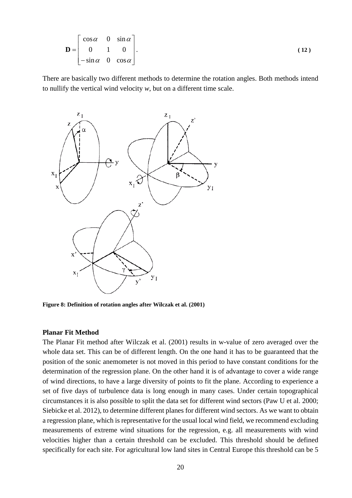$$
\mathbf{D} = \begin{bmatrix} \cos \alpha & 0 & \sin \alpha \\ 0 & 1 & 0 \\ -\sin \alpha & 0 & \cos \alpha \end{bmatrix} .
$$
 (12)

There are basically two different methods to determine the rotation angles. Both methods intend to nullify the vertical wind velocity *w*, but on a different time scale.

![](_page_19_Figure_2.jpeg)

<span id="page-19-0"></span>**Figure 8: Definition of rotation angles after Wilczak et al. [\(2001\)](#page-63-2)**

#### **Planar Fit Method**

The Planar Fit method after Wilczak et al. [\(2001\)](#page-63-2) results in w-value of zero averaged over the whole data set. This can be of different length. On the one hand it has to be guaranteed that the position of the sonic anemometer is not moved in this period to have constant conditions for the determination of the regression plane. On the other hand it is of advantage to cover a wide range of wind directions, to have a large diversity of points to fit the plane. According to experience a set of five days of turbulence data is long enough in many cases. Under certain topographical circumstances it is also possible to split the data set for different wind sectors [\(Paw U et al. 2000;](#page-62-9) [Siebicke et al. 2012\)](#page-63-4), to determine different planes for different wind sectors. As we want to obtain a regression plane, which is representative for the usual local wind field, we recommend excluding measurements of extreme wind situations for the regression, e.g. all measurements with wind velocities higher than a certain threshold can be excluded. This threshold should be defined specifically for each site. For agricultural low land sites in Central Europe this threshold can be 5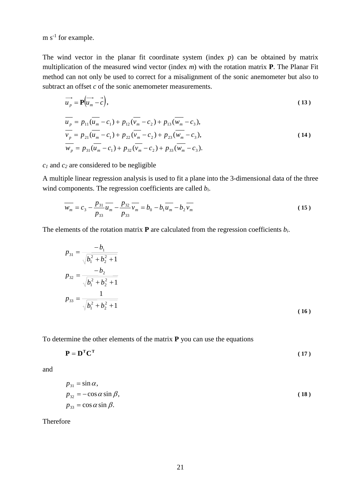$m s<sup>-1</sup>$  for example.

The wind vector in the planar fit coordinate system (index *p*) can be obtained by matrix multiplication of the measured wind vector (index *m*) with the rotation matrix **P**. The Planar Fit method can not only be used to correct for a misalignment of the sonic anemometer but also to subtract an offset *c* of the sonic anemometer measurements.

$$
\overrightarrow{u_p} = \mathbf{P}(\overrightarrow{u_m} - \overrightarrow{c}),
$$
\n(13)

$$
u_p = p_{11}(u_m - c_1) + p_{12}(v_m - c_2) + p_{13}(w_m - c_3),
$$
  
\n
$$
\overline{v_p} = p_{21}(\overline{u_m} - c_1) + p_{22}(\overline{v_m} - c_2) + p_{23}(\overline{w_m} - c_3),
$$
  
\n
$$
\overline{w_p} = p_{31}(\overline{u_m} - c_1) + p_{32}(\overline{v_m} - c_2) + p_{33}(\overline{w_m} - c_3).
$$
\n(14)

*c1* and *c2* are considered to be negligible

A multiple linear regression analysis is used to fit a plane into the 3-dimensional data of the three wind components. The regression coefficients are called *bi*.

$$
\overline{w_m} = c_3 - \frac{p_{31}}{p_{33}} \overline{u_m} - \frac{p_{32}}{p_{33}} \overline{v_m} = b_0 - b_1 \overline{u_m} - b_2 \overline{v_m}
$$
(15)

The elements of the rotation matrix **P** are calculated from the regression coefficients *bi*.

$$
p_{31} = \frac{-b_1}{\sqrt{b_1^2 + b_2^2 + 1}}
$$
  
\n
$$
p_{32} = \frac{-b_2}{\sqrt{b_1^2 + b_2^2 + 1}}
$$
  
\n
$$
p_{33} = \frac{1}{\sqrt{b_1^2 + b_2^2 + 1}}
$$
  
\n(16)

To determine the other elements of the matrix **P** you can use the equations

$$
\mathbf{P} = \mathbf{D}^{\mathrm{T}} \mathbf{C}^{\mathrm{T}} \tag{17}
$$

and

$$
p_{31} = \sin \alpha,
$$
  
\n
$$
p_{32} = -\cos \alpha \sin \beta,
$$
  
\n
$$
p_{33} = \cos \alpha \sin \beta.
$$
  
\n(18)

Therefore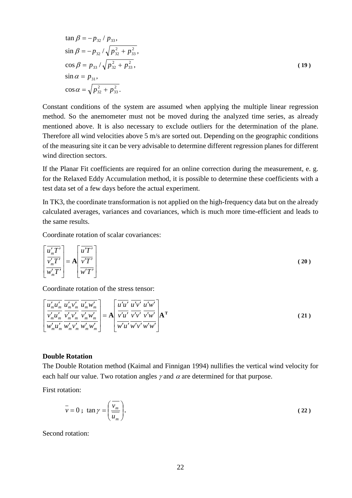$$
\tan \beta = -p_{32} / p_{33},
$$
  
\n
$$
\sin \beta = -p_{32} / \sqrt{p_{32}^2 + p_{33}^2},
$$
  
\n
$$
\cos \beta = p_{33} / \sqrt{p_{32}^2 + p_{33}^2},
$$
  
\n
$$
\sin \alpha = p_{31},
$$
  
\n
$$
\cos \alpha = \sqrt{p_{32}^2 + p_{33}^2}.
$$
\n(19)

Constant conditions of the system are assumed when applying the multiple linear regression method. So the anemometer must not be moved during the analyzed time series, as already mentioned above. It is also necessary to exclude outliers for the determination of the plane. Therefore all wind velocities above 5 m/s are sorted out. Depending on the geographic conditions of the measuring site it can be very advisable to determine different regression planes for different wind direction sectors.

If the Planar Fit coefficients are required for an online correction during the measurement, e. g. for the Relaxed Eddy Accumulation method, it is possible to determine these coefficients with a test data set of a few days before the actual experiment.

In TK3, the coordinate transformation is not applied on the high-frequency data but on the already calculated averages, variances and covariances, which is much more time-efficient and leads to the same results.

Coordinate rotation of scalar covariances:

$$
\left[\frac{\overline{u'_m T'}}{\overline{v'_m T'}}\right] = A \left[\frac{\overline{u'T'}}{\overline{v'T'}}\right]
$$
\n(20)

Coordinate rotation of the stress tensor:

$$
\left[\frac{\overline{u'_m u'_m}}{\overline{v'_m u'_m}} \frac{\overline{u'_m v'_m}}{\overline{v'_m v'_m}} \frac{\overline{u'_m w'_m}}{\overline{v'_m w'_m}}\right] = A \left[\frac{\overline{u'u'}}{\overline{v'u'}} \frac{\overline{u'v'}}{\overline{v'v'}} \frac{\overline{u'w'}}{\overline{v'w'}}\right] A^T
$$
\n(21)

### **Double Rotation**

The Double Rotation method [\(Kaimal and Finnigan 1994\)](#page-62-4) nullifies the vertical wind velocity for each half our value. Two rotation angles  $\gamma$  and  $\alpha$  are determined for that purpose.

First rotation:

$$
\overline{v} = 0; \tan \gamma = \left(\frac{\overline{v_m}}{\overline{u_m}}\right).
$$
 (22)

Second rotation: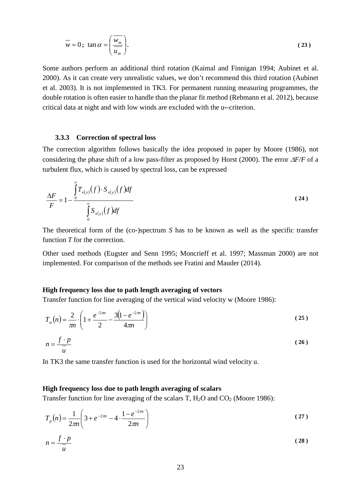$$
\overline{w} = 0; \tan \alpha = \left(\frac{W_m}{\overline{u_m}}\right).
$$
 (23)

Some authors perform an additional third rotation [\(Kaimal and Finnigan 1994;](#page-62-4) [Aubinet et al.](#page-60-7)  [2000\)](#page-60-7). As it can create very unrealistic values, we don't recommend this third rotation [\(Aubinet](#page-60-8)  [et al. 2003\)](#page-60-8). It is not implemented in TK3. For permanent running measuring programmes, the double rotation is often easier to handle than the planar fit method [\(Rebmann et al. 2012\)](#page-63-5), because critical data at night and with low winds are excluded with the u\*-criterion.

#### <span id="page-22-0"></span>**3.3.3 Correction of spectral loss**

The correction algorithm follows basically the idea proposed in paper by Moore [\(1986\)](#page-62-6), not considering the phase shift of a low pass-filter as proposed by Horst [\(2000\)](#page-61-8). The error ∆*F/F* of a turbulent flux, which is caused by spectral loss, can be expressed

$$
\frac{\Delta F}{F} = 1 - \frac{\int_{0}^{\infty} T_{x(y)}(f) \cdot S_{x(y)}(f) df}{\int_{0}^{\infty} S_{x(y)}(f) df}
$$
\n(24)

The theoretical form of the (co-)spectrum *S* has to be known as well as the specific transfer function *T* for the correction.

Other used methods [\(Eugster and Senn 1995;](#page-60-12) [Moncrieff et al. 1997;](#page-62-10) [Massman 2000\)](#page-62-11) are not implemented. For comparison of the methods see Fratini and Mauder [\(2014\)](#page-61-1).

### **High frequency loss due to path length averaging of vectors**

Transfer function for line averaging of the vertical wind velocity w [\(Moore 1986\)](#page-62-6):

$$
T_w(n) = \frac{2}{\pi n} \cdot \left( 1 + \frac{e^{-2\pi n}}{2} - \frac{3\left(1 - e^{-2\pi n}\right)}{4\pi n} \right)
$$
(25)  

$$
n = \frac{f \cdot p}{2}
$$
(26)

In TK3 the same transfer function is used for the horizontal wind velocity u.

#### **High frequency loss due to path length averaging of scalars**

*u*

Transfer function for line averaging of the scalars T, H<sub>2</sub>O and CO<sub>2</sub> [\(Moore 1986\)](#page-62-6):

$$
T_p(n) = \frac{1}{2\pi n} \left( 3 + e^{-2\pi n} - 4 \cdot \frac{1 - e^{-2\pi n}}{2\pi n} \right)
$$
 (27)

$$
n = \frac{f \cdot p}{\overline{u}} \tag{28}
$$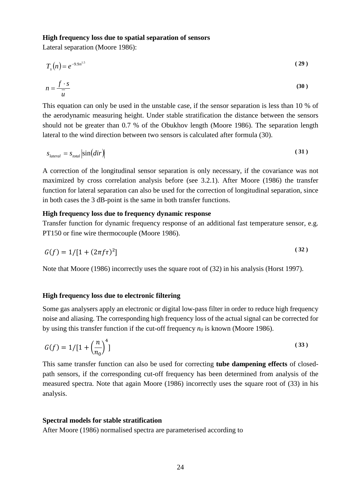#### **High frequency loss due to spatial separation of sensors**

Lateral separation [\(Moore 1986\)](#page-62-6):

$$
T_s(n) = e^{-9.9n^{1.5}}
$$
 (29)

$$
n = \frac{f \cdot s}{\overline{u}} \tag{30}
$$

This equation can only be used in the unstable case, if the sensor separation is less than 10 % of the aerodynamic measuring height. Under stable stratification the distance between the sensors should not be greater than 0.7 % of the Obukhov length [\(Moore 1986\)](#page-62-6). The separation length lateral to the wind direction between two sensors is calculated after formula (30).

$$
s_{\text{lateral}} = s_{\text{total}} \left| \sin(dir) \right| \tag{31}
$$

A correction of the longitudinal sensor separation is only necessary, if the covariance was not maximized by cross correlation analysis before (see [3.2.1\)](#page-13-2). After Moore [\(1986\)](#page-62-6) the transfer function for lateral separation can also be used for the correction of longitudinal separation, since in both cases the 3 dB-point is the same in both transfer functions.

## **High frequency loss due to frequency dynamic response**

Transfer function for dynamic frequency response of an additional fast temperature sensor, e.g. PT150 or fine wire thermocouple [\(Moore 1986\)](#page-62-6).

$$
G(f) = 1/[1 + (2\pi f \tau)^2]
$$
\n(32)

Note that Moore (1986) incorrectly uses the square root of (32) in his analysis [\(Horst 1997\)](#page-61-9).

### **High frequency loss due to electronic filtering**

Some gas analysers apply an electronic or digital low-pass filter in order to reduce high frequency noise and aliasing. The corresponding high frequency loss of the actual signal can be corrected for by using this transfer function if the cut-off frequency *n0* is known [\(Moore 1986\)](#page-62-6).

$$
G(f) = 1/[1 + \left(\frac{n}{n_0}\right)^4]
$$
\n(33)

This same transfer function can also be used for correcting **tube dampening effects** of closedpath sensors, if the corresponding cut-off frequency has been determined from analysis of the measured spectra. Note that again Moore (1986) incorrectly uses the square root of (33) in his analysis.

### **Spectral models for stable stratification**

After Moore [\(1986\)](#page-62-6) normalised spectra are parameterised according to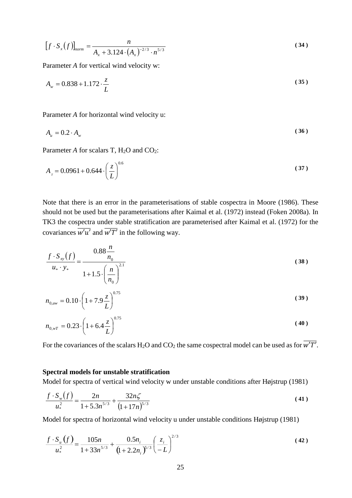$$
[f \cdot S_x(f)]_{norm} = \frac{n}{A_x + 3.124 \cdot (A_x)^{-2/3} \cdot n^{5/3}}
$$
(34)

Parameter *A* for vertical wind velocity w:

$$
A_w = 0.838 + 1.172 \cdot \frac{z}{L}
$$
 (35)

Parameter *A* for horizontal wind velocity u:

$$
A_u = 0.2 \cdot A_w \tag{36}
$$

Parameter *A* for scalars T, H<sub>2</sub>O and CO<sub>2</sub>:

$$
A_{\tau} = 0.0961 + 0.644 \cdot \left(\frac{z}{L}\right)^{0.6} \tag{37}
$$

Note that there is an error in the parameterisations of stable cospectra in Moore [\(1986\)](#page-62-6). These should not be used but the parameterisations after Kaimal et al. [\(1972\)](#page-61-10) instead [\(Foken 2008a\)](#page-60-9). In TK3 the cospectra under stable stratification are parameterised after Kaimal et al. [\(1972\)](#page-61-10) for the covariances  $\overline{w'u'}$  and  $\overline{w'T'}$  in the following way.

$$
\frac{f \cdot S_{xy}(f)}{u_* \cdot y_*} = \frac{0.88 \frac{n}{n_0}}{1 + 1.5 \cdot \left(\frac{n}{n_0}\right)^{2.1}}
$$
\n(38)

$$
n_{0,\text{inv}} = 0.10 \cdot \left(1 + 7.9 \frac{z}{L}\right)^{0.75} \tag{39}
$$

$$
n_{0,wT} = 0.23 \cdot \left(1 + 6.4 \frac{z}{L}\right)^{0.75}
$$
 (40)

For the covariances of the scalars H<sub>2</sub>O and CO<sub>2</sub> the same cospectral model can be used as for  $\overline{w'T'}$ .

### **Spectral models for unstable stratification**

Model for spectra of vertical wind velocity w under unstable conditions after Højstrup [\(1981\)](#page-61-11)

$$
\frac{f \cdot S_w(f)}{u_*^2} = \frac{2n}{1 + 5.3n^{5/3}} + \frac{32n\zeta}{(1 + 17n)^{5/3}}
$$
(41)

Model for spectra of horizontal wind velocity u under unstable conditions Højstrup [\(1981\)](#page-61-11)

$$
\frac{f \cdot S_u(f)}{u_*^2} = \frac{105n}{1 + 33n^{5/3}} + \frac{0.5n_i}{(1 + 2.2n_i)^{5/3}} \left(\frac{z_i}{-L}\right)^{2/3}
$$
(42)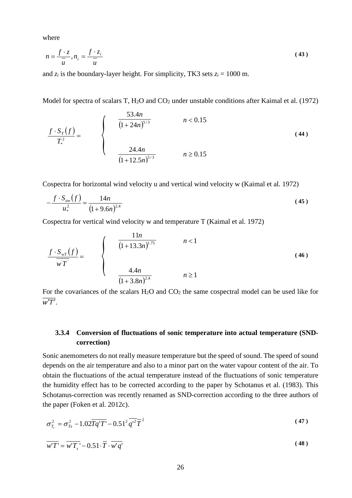where

$$
n = \frac{f \cdot z}{\overline{u}}, n_i = \frac{f \cdot z_i}{\overline{u}} \tag{43}
$$

and  $z_i$  is the boundary-layer height. For simplicity, TK3 sets  $z_i = 1000$  m.

Model for spectra of scalars T, H<sub>2</sub>O and CO<sub>2</sub> under unstable conditions after Kaimal et al. [\(1972\)](#page-61-10)

$$
\frac{f \cdot S_{T}(f)}{T_{*}^{2}} = \begin{cases} \frac{53.4n}{(1+24n)^{5/3}} & n < 0.15\\ \frac{24.4n}{(1+12.5n)^{5/3}} & n \ge 0.15 \end{cases}
$$
(44)

Cospectra for horizontal wind velocity u and vertical wind velocity w [\(Kaimal et al. 1972\)](#page-61-10)

$$
-\frac{f \cdot S_{uw}(f)}{u_*^2} = \frac{14n}{(1+9.6n)^{2.4}}
$$
(45)

Cospectra for vertical wind velocity w and temperature T [\(Kaimal et al. 1972\)](#page-61-10)

$$
\frac{f \cdot S_{\rm wT}(f)}{w \, T} = \begin{cases} \frac{11n}{(1+13.3n)^{1.75}} & n < 1\\ \frac{4.4n}{(1+3.8n)^{2.4}} & n \ge 1 \end{cases} \tag{46}
$$

For the covariances of the scalars  $H_2O$  and  $CO_2$  the same cospectral model can be used like for  $\overline{w'T'}$ 

# <span id="page-25-0"></span>**3.3.4 Conversion of fluctuations of sonic temperature into actual temperature (SNDcorrection)**

Sonic anemometers do not really measure temperature but the speed of sound. The speed of sound depends on the air temperature and also to a minor part on the water vapour content of the air. To obtain the fluctuations of the actual temperature instead of the fluctuations of sonic temperature the humidity effect has to be corrected according to the paper by Schotanus et al. [\(1983\)](#page-63-6). This Schotanus-correction was recently renamed as SND-correction according to the three authors of the paper [\(Foken et al. 2012c\)](#page-61-3).

$$
\sigma_{T_c}^2 = \sigma_{T_s}^2 - 1.02 \overline{Tq^{\prime}T^{\prime}} - 0.51^2 \overline{q^{\prime 2}} \overline{T}^2 \tag{47}
$$

$$
\overline{w'T'} = \overline{w'T_s'} - 0.51 \cdot \overline{T} \cdot \overline{w'q'}
$$
 (48)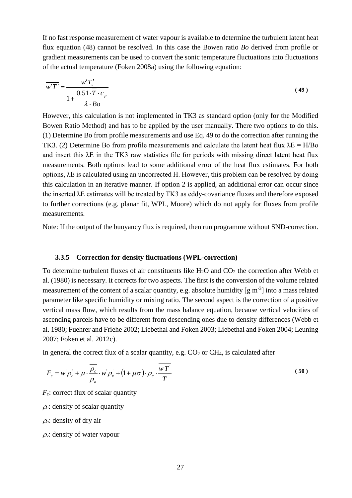If no fast response measurement of water vapour is available to determine the turbulent latent heat flux equation (48) cannot be resolved. In this case the Bowen ratio *Bo* derived from profile or gradient measurements can be used to convert the sonic temperature fluctuations into fluctuations of the actual temperature [\(Foken 2008a\)](#page-60-9) using the following equation:

$$
\overline{w'T'} = \frac{w'T'_s}{1 + \frac{0.51 \cdot \overline{T} \cdot c_p}{\lambda \cdot Bo}}
$$
\n(49)

However, this calculation is not implemented in TK3 as standard option (only for the Modified Bowen Ratio Method) and has to be applied by the user manually. There two options to do this. (1) Determine Bo from profile measurements and use Eq. 49 to do the correction after running the TK3. (2) Determine Bo from profile measurements and calculate the latent heat flux  $\lambda E = H/Bo$ and insert this  $\lambda$ E in the TK3 raw statistics file for periods with missing direct latent heat flux measurements. Both options lead to some additional error of the heat flux estimates. For both options, λE is calculated using an uncorrected H. However, this problem can be resolved by doing this calculation in an iterative manner. If option 2 is applied, an additional error can occur since the inserted λE estimates will be treated by TK3 as eddy-covariance fluxes and therefore exposed to further corrections (e.g. planar fit, WPL, Moore) which do not apply for fluxes from profile measurements.

Note: If the output of the buoyancy flux is required, then run programme without SND-correction.

### <span id="page-26-0"></span>**3.3.5 Correction for density fluctuations (WPL-correction)**

To determine turbulent fluxes of air constituents like  $H_2O$  and  $CO_2$  the correction after Webb et al. [\(1980\)](#page-63-7) is necessary. It corrects for two aspects. The first is the conversion of the volume related measurement of the content of a scalar quantity, e.g. absolute humidity  $[g m<sup>-3</sup>]$  into a mass related parameter like specific humidity or mixing ratio. The second aspect is the correction of a positive vertical mass flow, which results from the mass balance equation, because vertical velocities of ascending parcels have to be different from descending ones due to density differences [\(Webb et](#page-63-7)  [al. 1980;](#page-63-7) [Fuehrer and Friehe 2002;](#page-61-12) [Liebethal and Foken 2003;](#page-62-12) [Liebethal and Foken 2004;](#page-62-13) [Leuning](#page-62-14)  [2007;](#page-62-14) [Foken et al. 2012c\)](#page-61-3).

In general the correct flux of a scalar quantity, e.g.  $CO<sub>2</sub>$  or  $CH<sub>4</sub>$ , is calculated after

$$
F_c = \overline{w \rho_c} + \mu \cdot \frac{\overline{\rho_c}}{\overline{\rho_a}} \cdot \overline{w \rho_v} + (1 + \mu \sigma) \cdot \overline{\rho_c} \cdot \frac{wT}{\overline{T}}
$$
\n(50)

 $F_c$ : correct flux of scalar quantity

 $\rho_c$ : density of scalar quantity

<sup>ρ</sup>*a*: density of dry air

<sup>ρ</sup>*v*: density of water vapour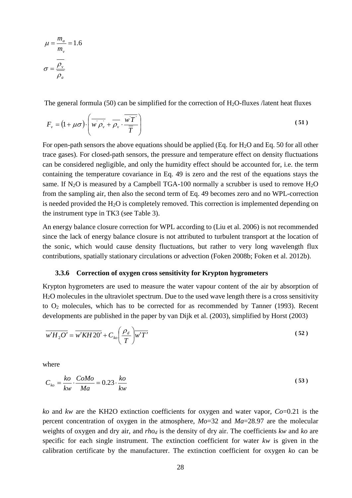$$
\mu = \frac{m_a}{m_v} = 1.6
$$

$$
\sigma = \frac{\rho_v}{\overline{\rho_a}}
$$

The general formula (50) can be simplified for the correction of  $H_2O$ -fluxes /latent heat fluxes

$$
F_{\nu} = (1 + \mu \sigma) \cdot \left( \overline{w \rho_{\nu}} + \overline{\rho_{\nu}} \cdot \overline{\frac{wT}{T}} \right)
$$
 (51)

For open-path sensors the above equations should be applied (Eq. for H2O and Eq. 50 for all other trace gases). For closed-path sensors, the pressure and temperature effect on density fluctuations can be considered negligible, and only the humidity effect should be accounted for, i.e. the term containing the temperature covariance in Eq. 49 is zero and the rest of the equations stays the same. If N<sub>2</sub>O is measured by a Campbell TGA-100 normally a scrubber is used to remove  $H_2O$ from the sampling air, then also the second term of Eq. 49 becomes zero and no WPL-correction is needed provided the  $H_2O$  is completely removed. This correction is implemented depending on the instrument type in TK3 (see Table 3).

An energy balance closure correction for WPL according to [\(Liu et al. 2006\)](#page-62-15) is not recommended since the lack of energy balance closure is not attributed to turbulent transport at the location of the sonic, which would cause density fluctuations, but rather to very long wavelength flux contributions, spatially stationary circulations or advection [\(Foken 2008b;](#page-60-13) [Foken et al. 2012b\)](#page-61-2).

#### <span id="page-27-0"></span>**3.3.6 Correction of oxygen cross sensitivity for Krypton hygrometers**

Krypton hygrometers are used to measure the water vapour content of the air by absorption of H2O molecules in the ultraviolet spectrum. Due to the used wave length there is a cross sensitivity to O2 molecules, which has to be corrected for as recommended by Tanner [\(1993\)](#page-60-14). Recent developments are published in the paper by van Dijk et al. [\(2003\)](#page-63-8), simplified by Horst [\(2003\)](#page-61-13)

$$
\overline{w'H_2O'} = \overline{w'KH2O'} + C_{ko} \left(\frac{\rho_d}{T}\right) \overline{w'T'}
$$
\n(52)

where

$$
C_{ko} = \frac{ko}{kw} \cdot \frac{CoMo}{Ma} = 0.23 \cdot \frac{ko}{kw}
$$
\n<sup>(53)</sup>

*ko* and *kw* are the KH2O extinction coefficients for oxygen and water vapor, *Co*=0.21 is the percent concentration of oxygen in the atmosphere, *Mo*=32 and *Ma*=28.97 are the molecular weights of oxygen and dry air, and *rhod* is the density of dry air. The coefficients *kw* and *ko* are specific for each single instrument. The extinction coefficient for water *kw* is given in the calibration certificate by the manufacturer. The extinction coefficient for oxygen *k*o can be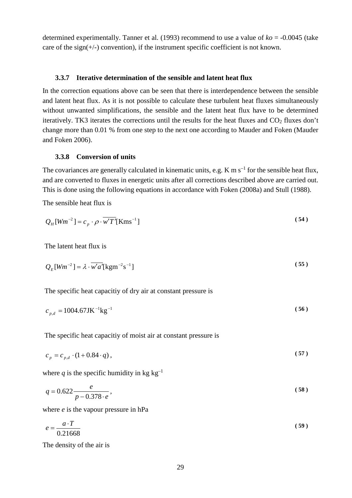determined experimentally. Tanner et al. [\(1993\)](#page-60-14) recommend to use a value of *ko* = -0.0045 (take care of the sign( $+/-$ ) convention), if the instrument specific coefficient is not known.

#### <span id="page-28-0"></span>**3.3.7 Iterative determination of the sensible and latent heat flux**

In the correction equations above can be seen that there is interdependence between the sensible and latent heat flux. As it is not possible to calculate these turbulent heat fluxes simultaneously without unwanted simplifications, the sensible and the latent heat flux have to be determined iteratively. TK3 iterates the corrections until the results for the heat fluxes and  $CO<sub>2</sub>$  fluxes don't change more than 0.01 % from one step to the next one according to Mauder and Foken [\(Mauder](#page-62-16)  [and Foken 2006\)](#page-62-16).

### <span id="page-28-1"></span>**3.3.8 Conversion of units**

The covariances are generally calculated in kinematic units, e.g. K m  $s^{-1}$  for the sensible heat flux, and are converted to fluxes in energetic units after all corrections described above are carried out. This is done using the following equations in accordance with Foken [\(2008a\)](#page-60-9) and Stull [\(1988\)](#page-63-9).

The sensible heat flux is

$$
Q_H \left[ Wm^{-2} \right] = c_p \cdot \rho \cdot \overline{w'T'} \left[ \text{Kms}^{-1} \right] \tag{54}
$$

The latent heat flux is

$$
Q_E[Wm^{-2}] = \lambda \cdot \overline{w'a'}[\text{kgm}^{-2}\text{s}^{-1}]
$$
\n(55)

The specific heat capacitiy of dry air at constant pressure is

$$
c_{p,d} = 1004.67 \text{JK}^{-1} \text{kg}^{-1} \tag{56}
$$

The specific heat capacitiy of moist air at constant pressure is

$$
c_p = c_{p,d} \cdot (1 + 0.84 \cdot q), \tag{57}
$$

where *q* is the specific humidity in kg  $kg^{-1}$ 

$$
q = 0.622 \frac{e}{p - 0.378 \cdot e},\tag{58}
$$

where *e* is the vapour pressure in hPa

$$
e = \frac{a \cdot T}{0.21668} \tag{59}
$$

The density of the air is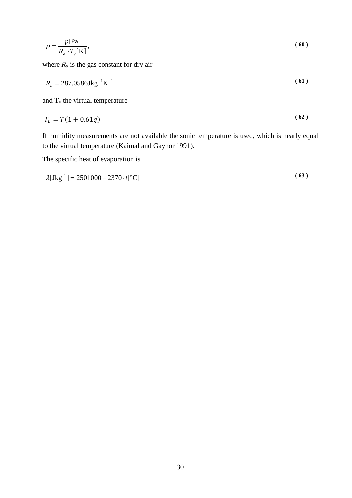$$
\rho = \frac{p[\text{Pa}]}{R_a \cdot T_v[\text{K}]},\tag{60}
$$

where  $R_a$  is the gas constant for dry air

$$
R_a = 287.0586 \text{Jkg}^{-1} \text{K}^{-1} \tag{61}
$$

and  $T_v$  the virtual temperature

$$
T_v = T(1 + 0.61q) \tag{62}
$$

If humidity measurements are not available the sonic temperature is used, which is nearly equal to the virtual temperature [\(Kaimal and Gaynor 1991\)](#page-61-14).

The specific heat of evaporation is

$$
\lambda[\text{Jkg}^{-1}] = 2501000 - 2370 \cdot t[°\text{C}] \tag{63}
$$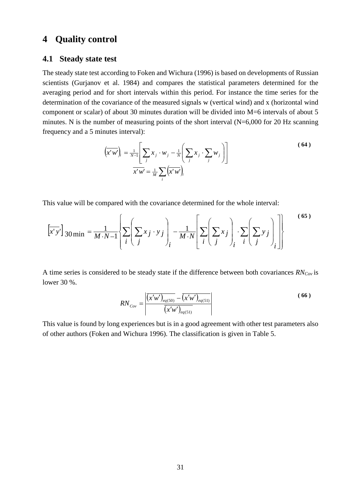# <span id="page-30-0"></span>**4 Quality control**

# <span id="page-30-1"></span>**4.1 Steady state test**

The steady state test according to Foken and Wichura [\(1996\)](#page-60-4) is based on developments of Russian scientists [\(Gurjanov et al. 1984\)](#page-61-15) and compares the statistical parameters determined for the averaging period and for short intervals within this period. For instance the time series for the determination of the covariance of the measured signals w (vertical wind) and x (horizontal wind component or scalar) of about 30 minutes duration will be divided into M=6 intervals of about 5 minutes. N is the number of measuring points of the short interval (N=6,000 for 20 Hz scanning frequency and a 5 minutes interval):

$$
\left(\overline{x'w'}\right)_i = \frac{1}{N-1} \left[ \sum_j x_j \cdot w_j - \frac{1}{N} \left( \sum_j x_j \cdot \sum_j w_j \right) \right]
$$
\n
$$
\overline{x'w'} = \frac{1}{M} \sum_i \left( \overline{x'w'} \right)_i
$$
\n(64)

This value will be compared with the covariance determined for the whole interval:

$$
\left[\overline{x'y'}\right]_{30\min} = \frac{1}{M \cdot N - 1} \left\{ \sum_{i} \left( \sum_{j} x_{j} \cdot y_{j} \right)_{i} - \frac{1}{M \cdot N} \left[ \sum_{i} \left( \sum_{j} x_{j} \right)_{i} \cdot \sum_{i} \left( \sum_{j} y_{j} \right)_{i} \right] \right\}
$$
(65)

A time series is considered to be steady state if the difference between both covariances *RNCov* is lower 30 %.

$$
RN_{\text{Cov}} = \frac{\left| \overline{(x'w')_{eq(50)} - (x'w')_{eq(51)}} \right|}{\overline{(x'w')_{eq(51)}}} \tag{66}
$$

This value is found by long experiences but is in a good agreement with other test parameters also of other authors [\(Foken and Wichura 1996\)](#page-60-4). The classification is given in Table 5.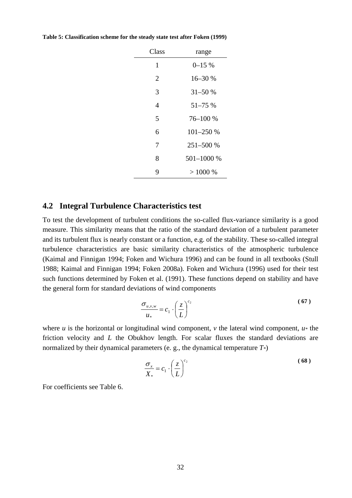| Class | range        |
|-------|--------------|
| 1     | $0 - 15 \%$  |
| 2     | 16-30 %      |
| 3     | $31 - 50%$   |
| 4     | $51 - 75%$   |
| 5     | 76-100 %     |
| 6     | $101 - 250%$ |
| 7     | 251-500 %    |
| 8     | 501-1000 %   |
| 9     | >1000%       |

**Table 5: Classification scheme for the steady state test after Foken [\(1999\)](#page-60-5)**

# <span id="page-31-0"></span>**4.2 Integral Turbulence Characteristics test**

To test the development of turbulent conditions the so-called flux-variance similarity is a good measure. This similarity means that the ratio of the standard deviation of a turbulent parameter and its turbulent flux is nearly constant or a function, e.g. of the stability. These so-called integral turbulence characteristics are basic similarity characteristics of the atmospheric turbulence [\(Kaimal and Finnigan 1994;](#page-62-4) [Foken and Wichura 1996\)](#page-60-4) and can be found in all textbooks [\(Stull](#page-63-9)  [1988;](#page-63-9) [Kaimal and Finnigan 1994;](#page-62-4) [Foken 2008a\)](#page-60-9). Foken and Wichura [\(1996\)](#page-60-4) used for their test such functions determined by Foken et al. [\(1991\)](#page-60-15). These functions depend on stability and have the general form for standard deviations of wind components

$$
\frac{\sigma_{u,v,w}}{u_*} = c_1 \cdot \left(\frac{z}{L}\right)^{c_2} \tag{67}
$$

where *u* is the horizontal or longitudinal wind component, *v* the lateral wind component,  $u^*$  the friction velocity and *L* the Obukhov length. For scalar fluxes the standard deviations are normalized by their dynamical parameters (e. g., the dynamical temperature *T\**)

$$
\frac{\sigma_x}{X_*} = c_1 \cdot \left(\frac{z}{L}\right)^{c_2} \tag{68}
$$

For coefficients see Table 6.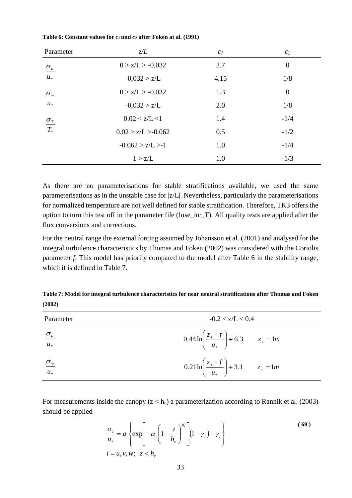| Parameter                                   | z/L                 | c <sub>I</sub> | c <sub>2</sub> |
|---------------------------------------------|---------------------|----------------|----------------|
| $\sigma_u$                                  | $0 > z/L > -0.032$  | 2.7            | $\overline{0}$ |
| $u_*$                                       | $-0.032 > z/L$      | 4.15           | 1/8            |
| $\sigma_{\mathbf{w}}$                       | $0 > z/L > -0.032$  | 1.3            | $\overline{0}$ |
| $u_*$                                       | $-0.032 > z/L$      | 2.0            | 1/8            |
|                                             | 0.02 < z/L < 1      | 1.4            | $-1/4$         |
| $\frac{\sigma_{\scriptscriptstyle T}}{T_*}$ | 0.02 > z/L > 0.062  | 0.5            | $-1/2$         |
|                                             | $-0.062 > z/L > -1$ | 1.0            | $-1/4$         |
|                                             | $-1 > z/L$          | 1.0            | $-1/3$         |

#### **Table 6: Constant values for** *c1* **und** *c2* **after Foken at al. [\(1991\)](#page-60-15)**

As there are no parameterisations for stable stratifications available, we used the same parameterisations as in the unstable case for |z/L|. Nevertheless, particularly the parameterisations for normalized temperature are not well defined for stable stratification. Therefore, TK3 offers the option to turn this test off in the parameter file (!use\_itc\_T). All quality tests are applied after the flux conversions and corrections.

For the neutral range the external forcing assumed by Johansson et al. [\(2001\)](#page-61-16) and analysed for the integral turbulence characteristics by Thomas and Foken [\(2002\)](#page-63-10) was considered with the Coriolis parameter *f*. This model has priority compared to the model after Table 6 in the stability range, which it is defined in Table 7.

| Table 7: Model for integral turbulence characteristics for near neutral stratifications after Thomas and Foken |  |
|----------------------------------------------------------------------------------------------------------------|--|
| (2002)                                                                                                         |  |

| Parameter              | $-0.2 < z/L < 0.4$                                                 |
|------------------------|--------------------------------------------------------------------|
| $\frac{\sigma_u}{u_*}$ | $0.44 \ln \left( \frac{z_+ \cdot f}{u_*} \right) + 6.3$ $z_+ = 1m$ |
| $\frac{\sigma_w}{u_*}$ | $0.21 \ln \left( \frac{z_+ \cdot f}{u_*} \right) + 3.1$ $z_+ = 1m$ |

For measurements inside the canopy  $(z < h_c)$  a parameterization according to Rannik et al. [\(2003\)](#page-63-11) should be applied

$$
\frac{\sigma_i}{u_*} = a_i \left\{ \exp\left[ -\alpha_i \left( 1 - \frac{z}{h_c} \right)^{\beta_i} \right] \left( 1 - \gamma_i \right) + \gamma_i \right\}
$$
\n
$$
i = u, v, w; \ z < h_c
$$
\n(69)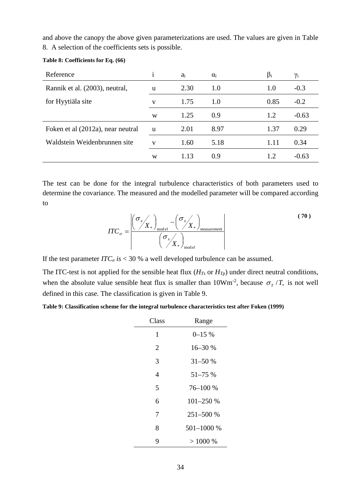and above the canopy the above given parameterizations are used. The values are given in Table 8. A selection of the coefficients sets is possible.

| Reference                         |   | $a_i$ | $\alpha_i$ | $\beta_i$ | γi      |
|-----------------------------------|---|-------|------------|-----------|---------|
| Rannik et al. (2003), neutral,    | u | 2.30  | 1.0        | 1.0       | $-0.3$  |
| for Hyytiäla site                 | V | 1.75  | 1.0        | 0.85      | $-0.2$  |
|                                   | W | 1.25  | 0.9        | 1.2       | $-0.63$ |
| Foken et al (2012a), near neutral | u | 2.01  | 8.97       | 1.37      | 0.29    |
| Waldstein Weidenbrunnen site      | V | 1.60  | 5.18       | 1.11      | 0.34    |
|                                   | W | 1.13  | 0.9        | 1.2       | $-0.63$ |

### **Table 8: Coefficients for Eq. (66)**

The test can be done for the integral turbulence characteristics of both parameters used to determine the covariance. The measured and the modelled parameter will be compared according to

| TT <sub>0</sub><br>$=$<br>$\mathbf{u} \circ \mathbf{v}$ | ັ<br>$\mathbf{v}$<br>$\lambda$<br>$\boldsymbol{\mathcal{N}}$<br>T7<br>T7<br>$\mathbf{\Lambda} *$<br>$\lambda r^*$<br>mod el<br>measurement | 70 |
|---------------------------------------------------------|--------------------------------------------------------------------------------------------------------------------------------------------|----|
|                                                         | u<br>$\boldsymbol{\lambda}$<br>v<br>$\mathbf{v}$<br>mod el                                                                                 |    |

If the test parameter  $ITC_{\sigma}$  *is* < 30 % a well developed turbulence can be assumed.

The ITC-test is not applied for the sensible heat flux (*HTs* or *HTp*) under direct neutral conditions, when the absolute value sensible heat flux is smaller than  $10Wm<sup>-2</sup>$ , because  $\sigma_T / T_*$  is not well defined in this case. The classification is given in Table 9.

**Table 9: Classification scheme for the integral turbulence characteristics test after Foken [\(1999\)](#page-60-5)**

| Class | Range       |
|-------|-------------|
| 1     | $0 - 15 \%$ |
| 2     | 16-30 %     |
| 3     | $31 - 50%$  |
| 4     | 51-75 %     |
| 5     | 76-100 %    |
| 6     | 101-250 %   |
| 7     | 251-500 %   |
| 8     | 501-1000 %  |
| 9     | > 1000 %    |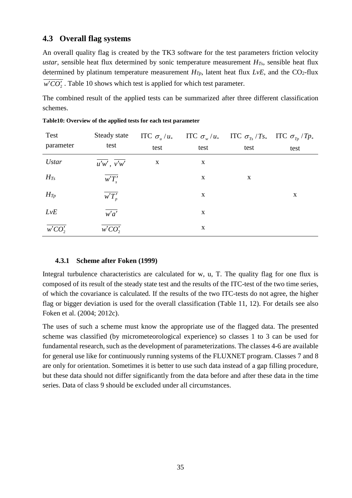# <span id="page-34-0"></span>**4.3 Overall flag systems**

An overall quality flag is created by the TK3 software for the test parameters friction velocity *ustar*, sensible heat flux determined by sonic temperature measurement *HTs*, sensible heat flux determined by platinum temperature measurement  $H_{Tp}$ , latent heat flux  $LvE$ , and the CO<sub>2</sub>-flux  $\overline{w'CO'}$ . Table 10 shows which test is applied for which test parameter.

The combined result of the applied tests can be summarized after three different classification schemes.

| Test         | Steady state                          | ITC $\sigma_u/u_*$ |      | ITC $\sigma_w/u_*$ ITC $\sigma_{T_s}/Ts_*$ ITC $\sigma_{T_p}/Tp_*$ |             |
|--------------|---------------------------------------|--------------------|------|--------------------------------------------------------------------|-------------|
| parameter    | test                                  | test               | test | test                                                               | test        |
| <b>Ustar</b> | $\overline{u'w'}$ , $\overline{v'w'}$ | X                  | X    |                                                                    |             |
| $H_{Ts}$     | w'T'                                  |                    | X    | X                                                                  |             |
| $H_{Tp}$     | $\overline{w'T'_p}$                   |                    | X    |                                                                    | $\mathbf X$ |
| LvE          | $\overline{w'a'}$                     |                    | X    |                                                                    |             |
| $w'CO'_2$    | w'CO'                                 |                    | X    |                                                                    |             |

**Table10: Overview of the applied tests for each test parameter**

# <span id="page-34-1"></span>**4.3.1 Scheme after Foken [\(1999\)](#page-60-5)**

Integral turbulence characteristics are calculated for w, u, T. The quality flag for one flux is composed of its result of the steady state test and the results of the ITC-test of the two time series, of which the covariance is calculated. If the results of the two ITC-tests do not agree, the higher flag or bigger deviation is used for the overall classification (Table 11, 12). For details see also Foken et al. [\(2004;](#page-60-6) [2012c\)](#page-61-3).

The uses of such a scheme must know the appropriate use of the flagged data. The presented scheme was classified (by micrometeorological experience) so classes 1 to 3 can be used for fundamental research, such as the development of parameterizations. The classes 4-6 are available for general use like for continuously running systems of the FLUXNET program. Classes 7 and 8 are only for orientation. Sometimes it is better to use such data instead of a gap filling procedure, but these data should not differ significantly from the data before and after these data in the time series. Data of class 9 should be excluded under all circumstances.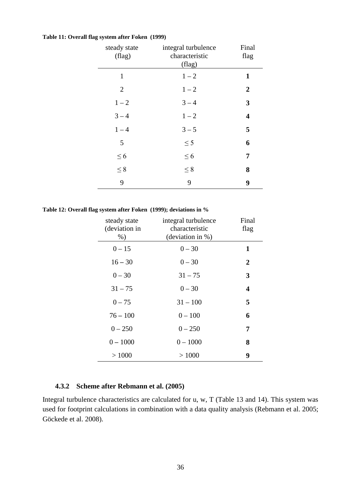#### **Table 11: Overall flag system after Foken [\(1999\)](#page-60-5)**

| steady state<br>$(\text{flag})$ | integral turbulence<br>characteristic<br>(flag) | Final<br>flag           |
|---------------------------------|-------------------------------------------------|-------------------------|
| $\mathbf{1}$                    | $1 - 2$                                         | $\mathbf{1}$            |
| $\overline{2}$                  | $1 - 2$                                         | $\boldsymbol{2}$        |
| $1 - 2$                         | $3 - 4$                                         | 3                       |
| $3 - 4$                         | $1 - 2$                                         | $\overline{\mathbf{4}}$ |
| $1 - 4$                         | $3 - 5$                                         | 5                       |
| 5                               | $\leq$ 5                                        | 6                       |
| $\leq 6$                        | $\leq 6$                                        | 7                       |
| $\leq 8$                        | $\leq 8$                                        | 8                       |
| 9                               | 9                                               | 9                       |

#### **Table 12: Overall flag system after Foken [\(1999\)](#page-60-5); deviations in %**

| steady state<br>(deviation in<br>$%$ ) | integral turbulence<br>characteristic<br>(deviation in %) | Final<br>flag  |
|----------------------------------------|-----------------------------------------------------------|----------------|
| $0 - 15$                               | $0 - 30$                                                  | 1              |
| $16 - 30$                              | $0 - 30$                                                  | $\overline{2}$ |
| $0 - 30$                               | $31 - 75$                                                 | 3              |
| $31 - 75$                              | $0 - 30$                                                  | 4              |
| $0 - 75$                               | $31 - 100$                                                | 5              |
| $76 - 100$                             | $0 - 100$                                                 | 6              |
| $0 - 250$                              | $0 - 250$                                                 | 7              |
| $0 - 1000$                             | $0 - 1000$                                                | 8              |
| >1000                                  | >1000                                                     | 9              |

### <span id="page-35-0"></span>**4.3.2 Scheme after Rebmann et al. [\(2005\)](#page-63-12)**

Integral turbulence characteristics are calculated for u, w, T (Table 13 and 14). This system was used for footprint calculations in combination with a data quality analysis [\(Rebmann et al. 2005;](#page-63-12) [Göckede et al. 2008\)](#page-61-0).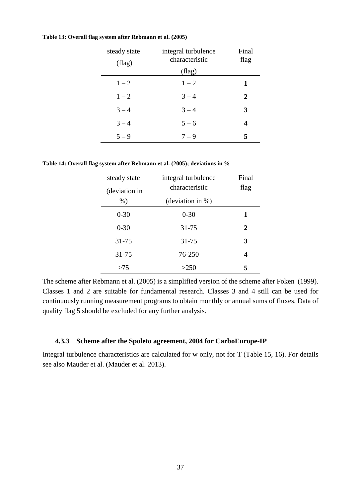| steady state<br>$(\text{flag})$ | integral turbulence<br>characteristic | Final<br>flag  |
|---------------------------------|---------------------------------------|----------------|
|                                 | (flag)                                |                |
| $1 - 2$                         | $1 - 2$                               | 1              |
| $1 - 2$                         | $3 - 4$                               | $\overline{2}$ |
| $3 - 4$                         | $3 - 4$                               | 3              |
| $3 - 4$                         | $5 - 6$                               | 4              |
| $5 - 9$                         | $7 - 9$                               | 5              |

### **Table 13: Overall flag system after Rebmann et al. [\(2005\)](#page-63-12)**

**Table 14: Overall flag system after Rebmann et al. [\(2005\)](#page-63-12); deviations in %**

| steady state  | integral turbulence | Final |
|---------------|---------------------|-------|
| (deviation in | characteristic      | flag  |
| $%$ )         | (deviation in $%$ ) |       |
| $0 - 30$      | $0 - 30$            | 1     |
| $0 - 30$      | $31 - 75$           | 2     |
| $31 - 75$     | 31-75               | 3     |
| $31 - 75$     | 76-250              | 4     |
| >75           | >250                | 5     |

The scheme after Rebmann et al. [\(2005\)](#page-63-12) is a simplified version of the scheme after Foken [\(1999\)](#page-60-5). Classes 1 and 2 are suitable for fundamental research. Classes 3 and 4 still can be used for continuously running measurement programs to obtain monthly or annual sums of fluxes. Data of quality flag 5 should be excluded for any further analysis.

# <span id="page-36-0"></span>**4.3.3 Scheme after the Spoleto agreement, 2004 for CarboEurope-IP**

Integral turbulence characteristics are calculated for w only, not for T (Table 15, 16). For details see also Mauder et al. [\(Mauder et al. 2013\)](#page-62-3).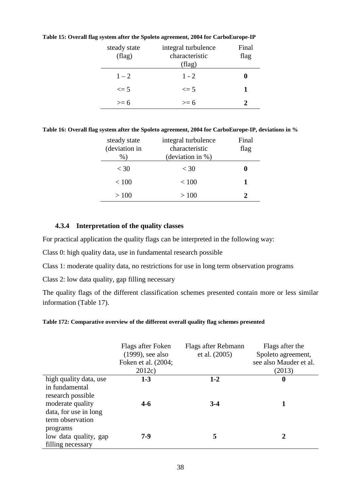| steady state<br>$_{\rm (flag)}$ | integral turbulence<br>characteristic<br>(flag) | Final<br>flag |
|---------------------------------|-------------------------------------------------|---------------|
| $1 - 2$                         | $1 - 2$                                         |               |
| $\leq$ 5                        | $\leq$ 5                                        |               |
| $>= 6$                          | $\geq$ 6                                        |               |

**Table 15: Overall flag system after the Spoleto agreement, 2004 for CarboEurope-IP**

**Table 16: Overall flag system after the Spoleto agreement, 2004 for CarboEurope-IP, deviations in %**

| steady state<br>(deviation in<br>$\%$ | integral turbulence<br>characteristic<br>(deviation in $%$ ) | Final<br>flag |
|---------------------------------------|--------------------------------------------------------------|---------------|
| $<$ 30                                | $<$ 30                                                       | 0             |
| < 100                                 | < 100                                                        |               |
| >100                                  | >100                                                         |               |

## <span id="page-37-0"></span>**4.3.4 Interpretation of the quality classes**

For practical application the quality flags can be interpreted in the following way:

Class 0: high quality data, use in fundamental research possible

Class 1: moderate quality data, no restrictions for use in long term observation programs

Class 2: low data quality, gap filling necessary

The quality flags of the different classification schemes presented contain more or less similar information (Table 17).

### **Table 172: Comparative overview of the different overall quality flag schemes presented**

|                        | Flags after Foken<br>$(1999)$ , see also<br>Foken et al. (2004;<br>2012c | Flags after Rebmann<br>et al. (2005) | Flags after the<br>Spoleto agreement,<br>see also Mauder et al.<br>(2013) |
|------------------------|--------------------------------------------------------------------------|--------------------------------------|---------------------------------------------------------------------------|
| high quality data, use | $1 - 3$                                                                  | $1 - 2$                              | $\boldsymbol{0}$                                                          |
| in fundamental         |                                                                          |                                      |                                                                           |
| research possible      |                                                                          |                                      |                                                                           |
| moderate quality       | $4 - 6$                                                                  | $3-4$                                |                                                                           |
| data, for use in long  |                                                                          |                                      |                                                                           |
| term observation       |                                                                          |                                      |                                                                           |
| programs               |                                                                          |                                      |                                                                           |
| low data quality, gap  | $7-9$                                                                    | 5                                    | 2                                                                         |
| filling necessary      |                                                                          |                                      |                                                                           |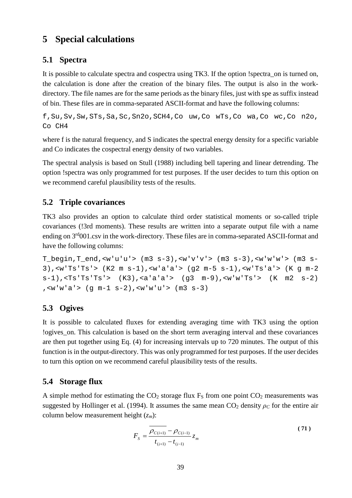# <span id="page-38-0"></span>**5 Special calculations**

# <span id="page-38-1"></span>**5.1 Spectra**

It is possible to calculate spectra and cospectra using TK3. If the option !spectra\_on is turned on, the calculation is done after the creation of the binary files. The output is also in the workdirectory. The file names are for the same periods as the binary files, just with spe as suffix instead of bin. These files are in comma-separated ASCII-format and have the following columns:

f,Su,Sv,Sw,STs,Sa,Sc,Sn2o,SCH4,Co uw,Co wTs,Co wa,Co wc,Co n2o, Co CH4

where f is the natural frequency, and S indicates the spectral energy density for a specific variable and Co indicates the cospectral energy density of two variables.

The spectral analysis is based on Stull [\(1988\)](#page-63-9) including bell tapering and linear detrending. The option !spectra was only programmed for test purposes. If the user decides to turn this option on we recommend careful plausibility tests of the results.

# <span id="page-38-2"></span>**5.2 Triple covariances**

TK3 also provides an option to calculate third order statistical moments or so-called triple covariances (!3rd moments). These results are written into a separate output file with a name ending on  $3<sup>rd</sup>001$ .csv in the work-directory. These files are in comma-separated ASCII-format and have the following columns:

T\_begin,T\_end,<w'u'u'> (m3 s-3),<w'v'v'> (m3 s-3),<w'w'w'> (m3 s-3),<w'Ts'Ts'> (K2 m s-1),<w'a'a'> (g2 m-5 s-1),<w'Ts'a'> (K g m-2 s-1),<Ts'Ts'Ts'> (K3),<a'a'a'> (g3 m-9),<w'w'Ts'> (K m2 s-2) ,<w'w'a'> (g m-1 s-2),<w'w'u'> (m3 s-3)

# <span id="page-38-3"></span>**5.3 Ogives**

It is possible to calculated fluxes for extending averaging time with TK3 using the option !ogives\_on. This calculation is based on the short term averaging interval and these covariances are then put together using Eq. (4) for increasing intervals up to 720 minutes. The output of this function is in the output-directory. This was only programmed for test purposes. If the user decides to turn this option on we recommend careful plausibility tests of the results.

# <span id="page-38-4"></span>**5.4 Storage flux**

A simple method for estimating the  $CO<sub>2</sub>$  storage flux  $F<sub>S</sub>$  from one point  $CO<sub>2</sub>$  measurements was suggested by Hollinger et al. [\(1994\)](#page-61-18). It assumes the same mean  $CO_2$  density  $\rho_C$  for the entire air column below measurement height (*zm*):

$$
F_{S} = \frac{\overline{\rho_{C(i+1)}} - \rho_{C(i-1)}}{t_{(i+1)} - t_{(i-1)}} z_{m}
$$
\n(71)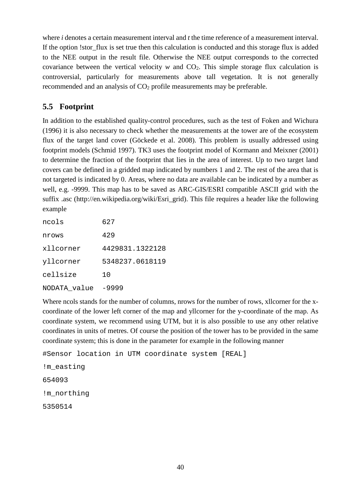where *i* denotes a certain measurement interval and *t* the time reference of a measurement interval. If the option !stor\_flux is set true then this calculation is conducted and this storage flux is added to the NEE output in the result file. Otherwise the NEE output corresponds to the corrected covariance between the vertical velocity  $w$  and  $CO<sub>2</sub>$ . This simple storage flux calculation is controversial, particularly for measurements above tall vegetation. It is not generally recommended and an analysis of CO<sub>2</sub> profile measurements may be preferable.

# <span id="page-39-0"></span>**5.5 Footprint**

In addition to the established quality-control procedures, such as the test of Foken and Wichura [\(1996\)](#page-60-4) it is also necessary to check whether the measurements at the tower are of the ecosystem flux of the target land cover [\(Göckede et al. 2008\)](#page-61-0). This problem is usually addressed using footprint models [\(Schmid 1997\)](#page-63-13). TK3 uses the footprint model of Kormann and Meixner [\(2001\)](#page-62-17) to determine the fraction of the footprint that lies in the area of interest. Up to two target land covers can be defined in a gridded map indicated by numbers 1 and 2. The rest of the area that is not targeted is indicated by 0. Areas, where no data are available can be indicated by a number as well, e.g. -9999. This map has to be saved as ARC-GIS/ESRI compatible ASCII grid with the suffix .asc (http://en.wikipedia.org/wiki/Esri\_grid). This file requires a header like the following example

| ncols        | 627             |
|--------------|-----------------|
| nrows        | 429             |
| xllcorner    | 4429831.1322128 |
| yllcorner    | 5348237.0618119 |
| cellsize     | 1 O             |
| NODATA value | -9999           |

Where ncols stands for the number of columns, nrows for the number of rows, xllcorner for the xcoordinate of the lower left corner of the map and yllcorner for the y-coordinate of the map. As coordinate system, we recommend using UTM, but it is also possible to use any other relative coordinates in units of metres. Of course the position of the tower has to be provided in the same coordinate system; this is done in the parameter for example in the following manner

```
#Sensor location in UTM coordinate system [REAL]
!m_easting 
654093 
!m_northing 
5350514
```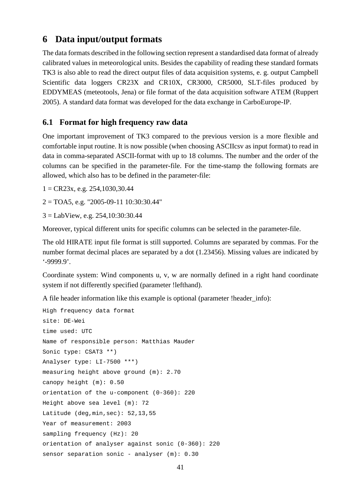# <span id="page-40-0"></span>**6 Data input/output formats**

The data formats described in the following section represent a standardised data format of already calibrated values in meteorological units. Besides the capability of reading these standard formats TK3 is also able to read the direct output files of data acquisition systems, e. g. output Campbell Scientific data loggers CR23X and CR10X, CR3000, CR5000, SLT-files produced by EDDYMEAS (meteotools, Jena) or file format of the data acquisition software ATEM [\(Ruppert](#page-63-14)  [2005\)](#page-63-14). A standard data format was developed for the data exchange in CarboEurope-IP.

# <span id="page-40-1"></span>**6.1 Format for high frequency raw data**

One important improvement of TK3 compared to the previous version is a more flexible and comfortable input routine. It is now possible (when choosing ASCIIcsv as input format) to read in data in comma-separated ASCII-format with up to 18 columns. The number and the order of the columns can be specified in the parameter-file. For the time-stamp the following formats are allowed, which also has to be defined in the parameter-file:

 $1 = CR23x$ , e.g. 254,1030,30.44

 $2 = TOA5$ , e.g. "2005-09-11 10:30:30.44"

3 = LabView, e.g. 254,10:30:30.44

Moreover, typical different units for specific columns can be selected in the parameter-file.

The old HIRATE input file format is still supported. Columns are separated by commas. For the number format decimal places are separated by a dot (1.23456). Missing values are indicated by '-9999.9'.

Coordinate system: Wind components u, v, w are normally defined in a right hand coordinate system if not differently specified (parameter !lefthand).

A file header information like this example is optional (parameter !header\_info):

```
High frequency data format
site: DE-Wei
time used: UTC
Name of responsible person: Matthias Mauder
Sonic type: CSAT3 **)
Analyser type: LI-7500 ***)
measuring height above ground (m): 2.70
canopy height (m): 0.50
orientation of the u-component (0-360): 220
Height above sea level (m): 72
Latitude (deg,min,sec): 52,13,55
Year of measurement: 2003
sampling frequency (Hz): 20
orientation of analyser against sonic (0-360): 220
sensor separation sonic - analyser (m): 0.30
```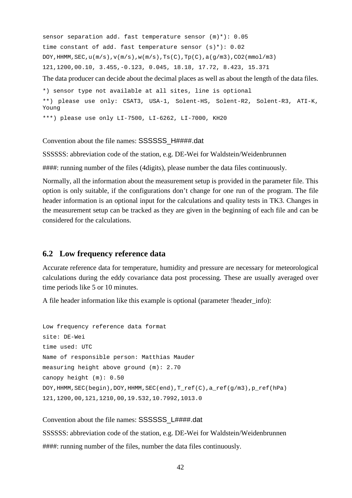sensor separation add. fast temperature sensor (m)\*): 0.05 time constant of add. fast temperature sensor  $(s)*$ ): 0.02 DOY, HHMM, SEC,  $u(m/s)$ ,  $v(m/s)$ ,  $w(m/s)$ , Ts(C), Tp(C),  $a(g/m3)$ , CO2(mmol/m3) 121,1200,00.10, 3.455,-0.123, 0.045, 18.18, 17.72, 8.423, 15.371

The data producer can decide about the decimal places as well as about the length of the data files.

```
*) sensor type not available at all sites, line is optional
**) please use only: CSAT3, USA-1, Solent-HS, Solent-R2, Solent-R3, ATI-K, 
Young
***) please use only LI-7500, LI-6262, LI-7000, KH20
```
Convention about the file names: SSSSSS\_H####.dat

SSSSSS: abbreviation code of the station, e.g. DE-Wei for Waldstein/Weidenbrunnen

####: running number of the files (4digits), please number the data files continuously.

Normally, all the information about the measurement setup is provided in the parameter file. This option is only suitable, if the configurations don't change for one run of the program. The file header information is an optional input for the calculations and quality tests in TK3. Changes in the measurement setup can be tracked as they are given in the beginning of each file and can be considered for the calculations.

# <span id="page-41-0"></span>**6.2 Low frequency reference data**

Accurate reference data for temperature, humidity and pressure are necessary for meteorological calculations during the eddy covariance data post processing. These are usually averaged over time periods like 5 or 10 minutes.

A file header information like this example is optional (parameter !header\_info):

```
Low frequency reference data format
site: DE-Wei
time used: UTC
Name of responsible person: Matthias Mauder
measuring height above ground (m): 2.70
canopy height (m): 0.50
DOY,HHMM,SEC(begin),DOY,HHMM,SEC(end),T_ref(C),a_ref(g/m3),p_ref(hPa)
121,1200,00,121,1210,00,19.532,10.7992,1013.0
```
#### Convention about the file names: SSSSSS\_L####.dat

SSSSSS: abbreviation code of the station, e.g. DE-Wei for Waldstein/Weidenbrunnen ####: running number of the files, number the data files continuously.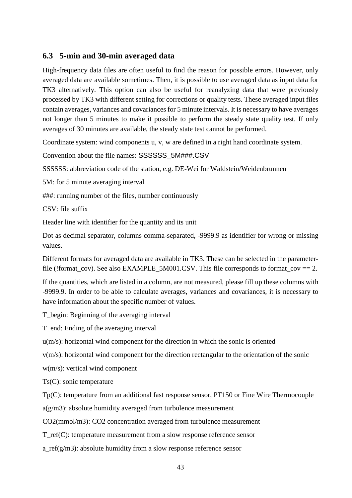# <span id="page-42-0"></span>**6.3 5-min and 30-min averaged data**

High-frequency data files are often useful to find the reason for possible errors. However, only averaged data are available sometimes. Then, it is possible to use averaged data as input data for TK3 alternatively. This option can also be useful for reanalyzing data that were previously processed by TK3 with different setting for corrections or quality tests. These averaged input files contain averages, variances and covariances for 5 minute intervals. It is necessary to have averages not longer than 5 minutes to make it possible to perform the steady state quality test. If only averages of 30 minutes are available, the steady state test cannot be performed.

Coordinate system: wind components u, v, w are defined in a right hand coordinate system.

Convention about the file names: SSSSSS\_5M###.CSV

SSSSSS: abbreviation code of the station, e.g. DE-Wei for Waldstein/Weidenbrunnen

5M: for 5 minute averaging interval

###: running number of the files, number continuously

CSV: file suffix

Header line with identifier for the quantity and its unit

Dot as decimal separator, columns comma-separated, -9999.9 as identifier for wrong or missing values.

Different formats for averaged data are available in TK3. These can be selected in the parameterfile (!format\_cov). See also EXAMPLE\_5M001.CSV. This file corresponds to format\_cov == 2.

If the quantities, which are listed in a column, are not measured, please fill up these columns with -9999.9. In order to be able to calculate averages, variances and covariances, it is necessary to have information about the specific number of values.

T\_begin: Beginning of the averaging interval

T\_end: Ending of the averaging interval

u(m/s): horizontal wind component for the direction in which the sonic is oriented

v(m/s): horizontal wind component for the direction rectangular to the orientation of the sonic

w(m/s): vertical wind component

Ts(C): sonic temperature

Tp(C): temperature from an additional fast response sensor, PT150 or Fine Wire Thermocouple

a(g/m3): absolute humidity averaged from turbulence measurement

CO2(mmol/m3): CO2 concentration averaged from turbulence measurement

T\_ref(C): temperature measurement from a slow response reference sensor

a\_ref(g/m3): absolute humidity from a slow response reference sensor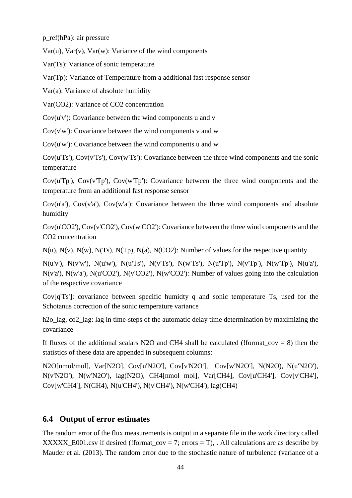p\_ref(hPa): air pressure

 $Var(u)$ ,  $Var(v)$ ,  $Var(w)$ : Variance of the wind components

Var(Ts): Variance of sonic temperature

Var(Tp): Variance of Temperature from a additional fast response sensor

Var(a): Variance of absolute humidity

Var(CO2): Variance of CO2 concentration

 $Cov(u'v')$ : Covariance between the wind components u and v

 $Cov(v'w')$ : Covariance between the wind components v and w

 $Cov(u'w')$ : Covariance between the wind components u and w

Cov(u'Ts'), Cov(v'Ts'), Cov(w'Ts'): Covariance between the three wind components and the sonic temperature

Cov(u'Tp'), Cov(v'Tp'), Cov(w'Tp'): Covariance between the three wind components and the temperature from an additional fast response sensor

Cov(u'a'), Cov(v'a'), Cov(w'a'): Covariance between the three wind components and absolute humidity

Cov(u'CO2'), Cov(v'CO2'), Cov(w'CO2'): Covariance between the three wind components and the CO2 concentration

 $N(u)$ ,  $N(v)$ ,  $N(w)$ ,  $N(Ts)$ ,  $N(Tp)$ ,  $N(a)$ ,  $N(CO2)$ : Number of values for the respective quantity

 $N(u'v')$ ,  $N(v'w')$ ,  $N(u'w')$ ,  $N(u'Ts')$ ,  $N(v'Ts')$ ,  $N(w'Ts')$ ,  $N(u'Tp')$ ,  $N(w'Tp')$ ,  $N(w'Tp')$ ,  $N(u'a')$ , N(v'a'), N(w'a'), N(u'CO2'), N(v'CO2'), N(w'CO2'): Number of values going into the calculation of the respective covariance

Cov[q'Ts']: covariance between specific humidty q and sonic temperature Ts, used for the Schotanus correction of the sonic temperature variance

h<sub>2o</sub> lag, co<sub>2</sub> lag: lag in time-steps of the automatic delay time determination by maximizing the covariance

If fluxes of the additional scalars N2O and CH4 shall be calculated (!format  $cov = 8$ ) then the statistics of these data are appended in subsequent columns:

N2O[nmol/mol], Var[N2O], Cov[u'N2O'], Cov[v'N2O'], Cov[w'N2O'], N(N2O), N(u'N2O'), N(v'N2O'), N(w'N2O'), lag(N2O), CH4[nmol mol], Var[CH4], Cov[u'CH4'], Cov[v'CH4'], Cov[w'CH4'], N(CH4), N(u'CH4'), N(v'CH4'), N(w'CH4'), lag(CH4)

# <span id="page-43-0"></span>**6.4 Output of error estimates**

The random error of the flux measurements is output in a separate file in the work directory called XXXXX\_E001.csv if desired (!format\_cov = 7; errors = T), . All calculations are as describe by Mauder et al. (2013). The random error due to the stochastic nature of turbulence (variance of a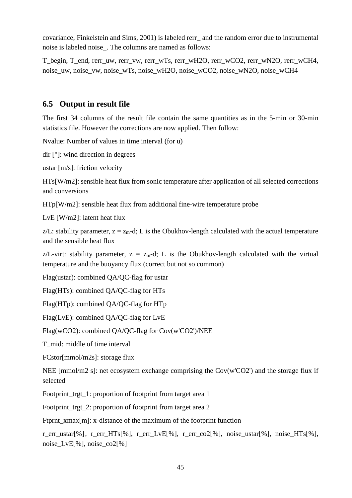covariance, Finkelstein and Sims, 2001) is labeled rerr\_ and the random error due to instrumental noise is labeled noise\_. The columns are named as follows:

T\_begin, T\_end, rerr\_uw, rerr\_vw, rerr\_wTs, rerr\_wH2O, rerr\_wCO2, rerr\_wN2O, rerr\_wCH4, noise\_uw, noise\_vw, noise\_wTs, noise\_wH2O, noise\_wCO2, noise\_wN2O, noise\_wCH4

# <span id="page-44-0"></span>**6.5 Output in result file**

The first 34 columns of the result file contain the same quantities as in the 5-min or 30-min statistics file. However the corrections are now applied. Then follow:

Nvalue: Number of values in time interval (for u)

dir [°]: wind direction in degrees

ustar [m/s]: friction velocity

HTs[W/m2]: sensible heat flux from sonic temperature after application of all selected corrections and conversions

HTp[W/m2]: sensible heat flux from additional fine-wire temperature probe

LvE [W/m2]: latent heat flux

z/L: stability parameter,  $z = z_m - d$ ; L is the Obukhov-length calculated with the actual temperature and the sensible heat flux

z/L-virt: stability parameter,  $z = z_m-d$ ; L is the Obukhov-length calculated with the virtual temperature and the buoyancy flux (correct but not so common)

Flag(ustar): combined QA/QC-flag for ustar

Flag(HTs): combined QA/QC-flag for HTs

Flag(HTp): combined QA/QC-flag for HTp

Flag(LvE): combined QA/QC-flag for LvE

Flag(wCO2): combined QA/QC-flag for Cov(w'CO2')/NEE

T\_mid: middle of time interval

FCstor[mmol/m2s]: storage flux

NEE [mmol/m2 s]: net ecosystem exchange comprising the Cov(w'CO2') and the storage flux if selected

Footprint\_trgt\_1: proportion of footprint from target area 1

Footprint\_trgt\_2: proportion of footprint from target area 2

Ftprnt\_xmax[m]: x-distance of the maximum of the footprint function

r\_err\_ustar[%], r\_err\_HTs[%], r\_err\_LvE[%], r\_err\_co2[%], noise\_ustar[%], noise\_HTs[%], noise\_LvE[%], noise\_co2[%]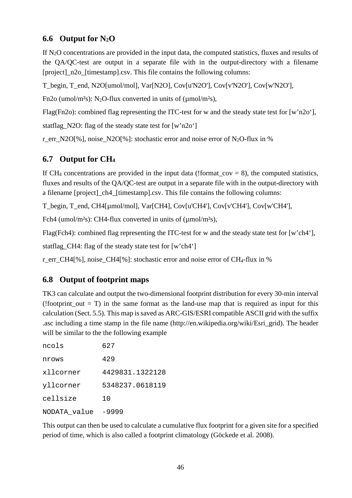# <span id="page-45-0"></span>**6.6 Output for N2O**

If  $N_2O$  concentrations are provided in the input data, the computed statistics, fluxes and results of the QA/QC-test are output in a separate file with in the output-directory with a filename [project]\_n2o\_[timestamp].csv. This file contains the following columns:

T\_begin, T\_end, N2O[umol/mol], Var[N2O], Cov[u'N2O'], Cov[v'N2O'], Cov[w'N2O'],

Fn2o (umol/m<sup>2</sup>s): N<sub>2</sub>O-flux converted in units of (µmol/m<sup>2</sup>s),

Flag(Fn2o): combined flag representing the ITC-test for w and the steady state test for [w'n2o'],

statflag\_N2O: flag of the steady state test for [w'n2o']

r err N2O[%], noise N2O[%]: stochastic error and noise error of N<sub>2</sub>O-flux in %

# <span id="page-45-1"></span>**6.7 Output for CH4**

If CH<sub>4</sub> concentrations are provided in the input data (!format cov = 8), the computed statistics, fluxes and results of the QA/QC-test are output in a separate file with in the output-directory with a filename [project]\_ch4\_[timestamp].csv. This file contains the following columns:

T\_begin, T\_end, CH4[µmol/mol], Var[CH4], Cov[u'CH4'], Cov[v'CH4'], Cov[w'CH4'],

Fch4 (umol/m<sup>2</sup>s): CH4-flux converted in units of (umol/m<sup>2</sup>s),

Flag(Fch4): combined flag representing the ITC-test for w and the steady state test for [w'ch4'],

statflag\_CH4: flag of the steady state test for [w'ch4']

<span id="page-45-2"></span>r err CH4[%], noise CH4[%]: stochastic error and noise error of CH<sub>4</sub>-flux in %

# **6.8 Output of footprint maps**

TK3 can calculate and output the two-dimensional footprint distribution for every 30-min interval (!footprint out  $= T$ ) in the same format as the land-use map that is required as input for this calculation (Sect. 5.5). This map is saved as ARC-GIS/ESRI compatible ASCII grid with the suffix .asc including a time stamp in the file name (http://en.wikipedia.org/wiki/Esri\_grid). The header will be similar to the the following example

| ncols        | 627             |
|--------------|-----------------|
| nrows        | 429             |
| xllcorner    | 4429831.1322128 |
| yllcorner    | 5348237.0618119 |
| cellsize     | 1 O             |
| NODATA value | -9999           |

This output can then be used to calculate a cumulative flux footprint for a given site for a specified period of time, which is also called a footprint climatology (Göckede et al. 2008).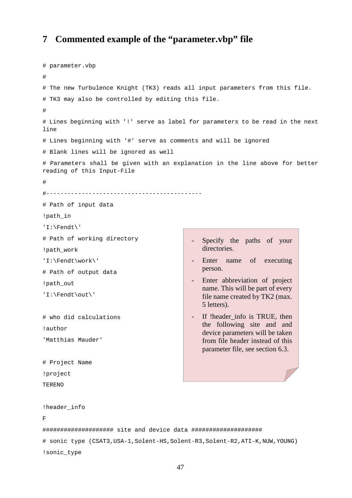# <span id="page-46-0"></span>**7 Commented example of the "parameter.vbp" file**

```
# parameter.vbp 
# 
# The new Turbulence Knight (TK3) reads all input parameters from this file. 
# TK3 may also be controlled by editing this file. 
# 
# Lines beginning with '!' serve as label for parameters to be read in the next 
line 
# Lines beginning with '#' serve as comments and will be ignored 
# Blank lines will be ignored as well 
# Parameters shall be given with an explanation in the line above for better 
reading of this Input-File 
# 
#--------------------------------------------
# Path of input data
!path_in
'I:\Fendt\'
# Path of working directory
!path_work
'I:\Fendt\work\'
# Path of output data
!path_out
'I:\Fendt\out\'
# who did calculations
!author
'Matthias Mauder'
# Project Name
!project
TERENO
!header_info
F
#################### site and device data ####################
# sonic type (CSAT3, USA-1, Solent-HS, Solent-R3, Solent-R2, ATI-K, NUW, YOUNG)
!sonic_type
                                             - Specify the paths of your 
                                                directories.
                                              - Enter name of executing 
                                                person.
                                             - Enter abbreviation of project 
                                                name. This will be part of every 
                                                file name created by TK2 (max. 
                                                5 letters).
                                             - If !header info is TRUE, then
                                                the following site and and
                                                device parameters will be taken 
                                                from file header instead of this 
                                                parameter file, see section 6.3.
```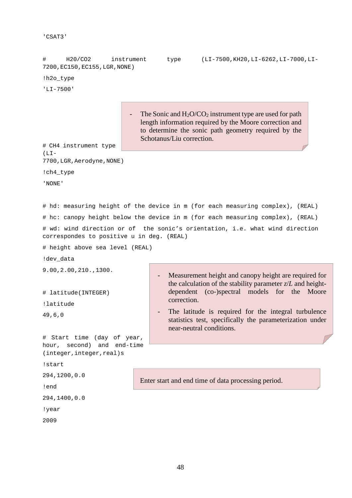```
'CSAT3'
```

```
# H20/CO2 instrument type (LI-7500,KH20,LI-6262,LI-7000,LI-
7200,EC150,EC155,LGR,NONE) 
!h2o_type
'LI-7500'
# CH4 instrument type 
(LI -7700,LGR,Aerodyne,NONE) 
!ch4_type 
'NONE' 
# hd: measuring height of the device in m (for each measuring complex), (REAL)
# hc: canopy height below the device in m (for each measuring complex), (REAL)
# wd: wind direction or of the sonic's orientation, i.e. what wind direction 
correspondes to positive u in deg. (REAL)
# height above sea level (REAL)
!dev data
9.00,2.00,210.,1300. 
# latitude(INTEGER)
!latitude
49,6,0
# Start time (day of year, 
hour, second) and end-time 
(integer,integer,real)s
!start
294,1200,0.0
!end
294,1400,0.0
!year
2009 
                          - The Sonic and H_2O/CO_2 instrument type are used for path
                              length information required by the Moore correction and 
                              to determine the sonic path geometry required by the 
                              Schotanus/Liu correction.
                                      Measurement height and canopy height are required for
                                      the calculation of the stability parameter z/L and height-
                                      dependent (co-)spectral models for the Moore 
                                      correction.
                                      The latitude is required for the integral turbulence
                                      statistics test, specifically the parameterization under 
                                      near-neutral conditions.
                             Enter start and end time of data processing period.
```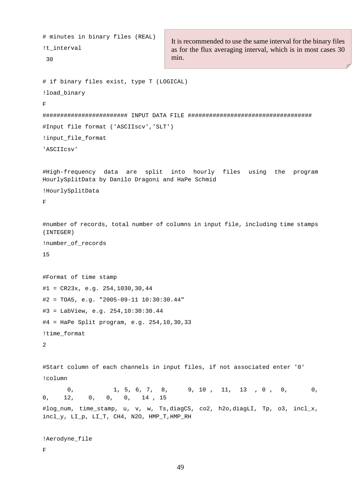```
# minutes in binary files (REAL)
!t_interval
 30 
# if binary files exist, type T (LOGICAL)
!load_binary
F
######################## INPUT DATA FILE ################################### 
#Input file format ('ASCIIscv','SLT')
!input_file_format
'ASCIIcsv'
#High-frequency data are split into hourly files using the program 
HourlySplitData by Danilo Dragoni and HaPe Schmid
!HourlySplitData 
\overline{\mathbf{F}}#number of records, total number of columns in input file, including time stamps 
(INTEGER)
!number_of_records
15
#Format of time stamp
#1 = CR23x, e.q. 254,1030,30,44#2 = TOA5, e.g. "2005-09-11 10:30:30.44"
#3 = LabView, e.g. 254,10:30:30.44
#4 = HaPe Split program, e.g. 254,10,30,33
!time_format
2
#Start column of each channels in input files, if not associated enter '0'
!column
       0, 1, 5, 6, 7, 8, 9, 10, 11, 13, 0, 0, 0,
0, 12, 0, 0, 0, 14 , 15
#log_num, time_stamp, u, v, w, Ts,diagCS, co2, h2o,diagLI, Tp, o3, incl_x, 
incl_y, LI_p, LI_T, CH4, N2O, HMP_T,HMP_RH
!Aerodyne_file 
F 
                                     It is recommended to use the same interval for the binary files 
                                     as for the flux averaging interval, which is in most cases 30 
                                     min.
```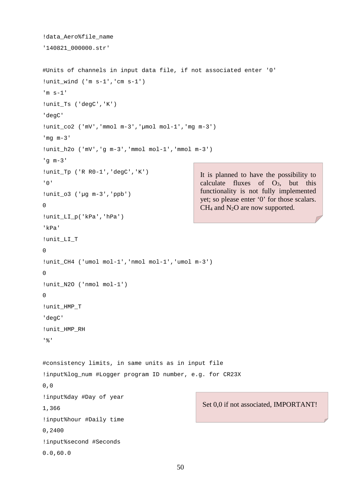```
!data Aero%file name
'140821_000000.str' 
#Units of channels in input data file, if not associated enter '0'
!unit_wind ('m s-1','cm s-1')
'm s-1'
!unit Ts ('degC','K')
'degC'
!unit_co2 ('mV','mmol m-3','µmol mol-1','mg m-3')
'mg m-3'
!unit_h2o ('mV','g m-3','mmol mol-1','mmol m-3')
'g m-3'
!unit_Tp ('R R0-1','degC','K')
'0'
!unit_o3 ('µg m-3','ppb')
\Omega!unit_LI_p('kPa','hPa')
'kPa'
!unit_LI_T
\Omega!unit_CH4 ('umol mol-1','nmol mol-1','umol m-3') 
\Omega!unit_N2O ('nmol mol-1')
\Omega!unit_HMP_T
'degC'
!unit_HMP_RH
'%'
#consistency limits, in same units as in input file
!input%log_num #Logger program ID number, e.g. for CR23X
0,0
!input%day #Day of year
1,366
!input%hour #Daily time 
0,2400
!input%second #Seconds 
0.0,60.0
                                                It is planned to have the possibility to 
                                                calculate fluxes of O3, but this 
                                                functionality is not fully implemented 
                                                yet; so please enter '0' for those scalars. 
                                                CH4 and N2O are now supported.
                                                 Set 0,0 if not associated, IMPORTANT!
```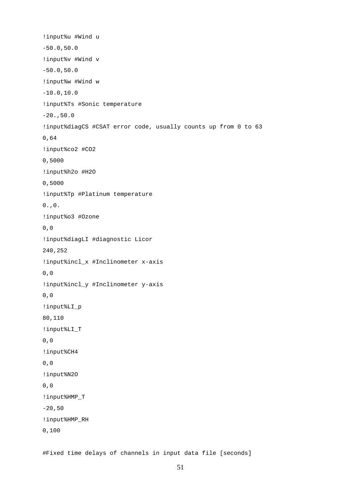!input%u #Wind u -50.0,50.0 !input%v #Wind v -50.0,50.0 !input%w #Wind w  $-10.0,10.0$ !input%Ts #Sonic temperature  $-20.$ ,50.0 !input%diagCS #CSAT error code, usually counts up from 0 to 63 0,64 !input%co2 #CO2 0,5000 !input%h2o #H2O 0,5000 !input%Tp #Platinum temperature  $0.00$ . !input%o3 #Ozone 0,0 !input%diagLI #diagnostic Licor 240,252 !input%incl\_x #Inclinometer x-axis 0,0 !input%incl\_y #Inclinometer y-axis 0,0 !input%LI\_p 80,110 !input%LI\_T 0,0 !input%CH4 0,0 !input%N2O 0,0 !input%HMP\_T  $-20,50$ !input%HMP\_RH 0,100

#Fixed time delays of channels in input data file [seconds]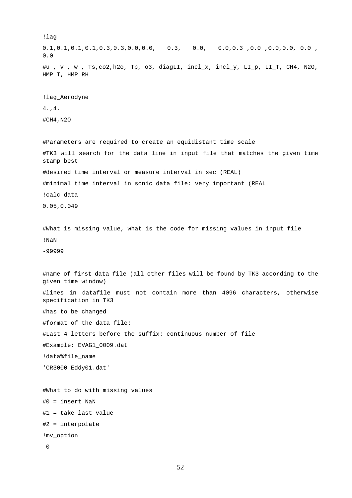!lag 0.1,0.1,0.1,0.1,0.3,0.3,0.0,0.0, 0.3, 0.0, 0.0,0.3 ,0.0 ,0.0,0.0, 0.0 , 0.0 #u , v , w , Ts,co2,h2o, Tp, o3, diagLI, incl\_x, incl\_y, LI\_p, LI\_T, CH4, N2O, HMP\_T, HMP\_RH !lag\_Aerodyne 4.,4. #CH4,N2O #Parameters are required to create an equidistant time scale #TK3 will search for the data line in input file that matches the given time stamp best #desired time interval or measure interval in sec (REAL) #minimal time interval in sonic data file: very important (REAL !calc\_data 0.05,0.049 #What is missing value, what is the code for missing values in input file !NaN -99999 #name of first data file (all other files will be found by TK3 according to the given time window) #lines in datafile must not contain more than 4096 characters, otherwise specification in TK3 #has to be changed #format of the data file: #Last 4 letters before the suffix: continuous number of file #Example: EVAG1\_0009.dat !data%file name 'CR3000\_Eddy01.dat' #What to do with missing values #0 = insert NaN #1 = take last value #2 = interpolate !mv\_option 0

```
52
```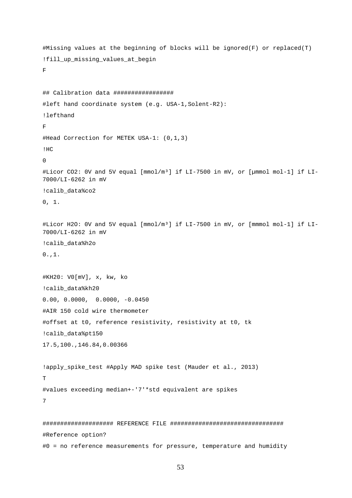```
#Missing values at the beginning of blocks will be ignored(F) or replaced(T)
!fill_up_missing_values_at_begin
F
## Calibration data ################# 
#left hand coordinate system (e.g. USA-1,Solent-R2): 
!lefthand
F
#Head Correction for METEK USA-1: (0,1,3)
!HC
\cap#Licor CO2: 0V and 5V equal [mmol/m³] if LI-7500 in mV, or [µmmol mol-1] if LI-
7000/LI-6262 in mV
!calib_data%co2
0, 1.#Licor H2O: 0V and 5V equal [mmol/m³] if LI-7500 in mV, or [mmmol mol-1] if LI-
7000/LI-6262 in mV
!calib_data%h2o
0., 1.
#KH20: V0[mV], x, kw, ko
!calib data%kh20
0.00, 0.0000, 0.0000, -0.0450
#AIR 150 cold wire thermometer
#offset at t0, reference resistivity, resistivity at t0, tk 
!calib data%pt150
17.5,100.,146.84,0.00366
!apply_spike_test #Apply MAD spike test (Mauder et al., 2013) 
T 
#values exceeding median+-'7'*std equivalent are spikes 
7 
#################### REFERENCE FILE ################################ 
#Reference option? 
#0 = no reference measurements for pressure, temperature and humidity
```

```
53
```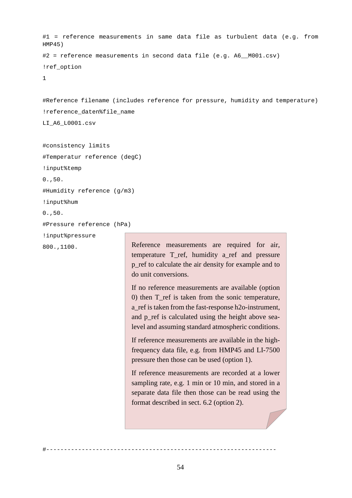```
#1 = reference measurements in same data file as turbulent data (e.g. from 
HMP45)
#2 = reference measurements in second data file (e.g. A6 M001.csv)
!ref_option
1
```
#Reference filename (includes reference for pressure, humidity and temperature) !reference\_daten%file\_name LI\_A6\_L0001.csv

```
#consistency limits 
#Temperatur reference (degC)
!input%temp
0.,50.
#Humidity reference (g/m3)
!input%hum
0.,50.
#Pressure reference (hPa)
!input%pressure
800.,1100.
```
Reference measurements are required for air, temperature T\_ref, humidity a\_ref and pressure p\_ref to calculate the air density for example and to do unit conversions.

If no reference measurements are available (option 0) then T\_ref is taken from the sonic temperature, a\_ref is taken from the fast-response h2o-instrument, and p\_ref is calculated using the height above sealevel and assuming standard atmospheric conditions.

If reference measurements are available in the highfrequency data file, e.g. from HMP45 and LI-7500 pressure then those can be used (option 1).

If reference measurements are recorded at a lower sampling rate, e.g. 1 min or 10 min, and stored in a separate data file then those can be read using the format described in sect. 6.2 (option 2).

#-----------------------------------------------------------------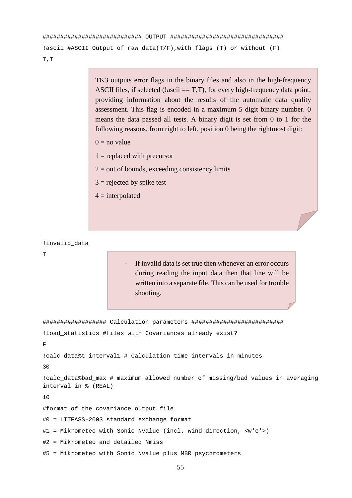```
############################ OUTPUT ################################ 
!ascii #ASCII Output of raw data(T/F), with flags (T) or without (F)
T,T
```
TK3 outputs error flags in the binary files and also in the high-frequency ASCII files, if selected (!ascii  $==$  T,T), for every high-frequency data point, providing information about the results of the automatic data quality assessment. This flag is encoded in a maximum 5 digit binary number. 0 means the data passed all tests. A binary digit is set from 0 to 1 for the following reasons, from right to left, position 0 being the rightmost digit:

- $0 =$  no value
- $1$  = replaced with precursor
- $2 =$  out of bounds, exceeding consistency limits
- $3$  = rejected by spike test
- $4 =$ interpolated

!invalid\_data

T

- If invalid data is set true then whenever an error occurs during reading the input data then that line will be written into a separate file. This can be used for trouble shooting.

################## Calculation parameters ########################## !load\_statistics #files with Covariances already exist? F !calc data%t interval1 # Calculation time intervals in minutes 30 !calc\_data%bad\_max # maximum allowed number of missing/bad values in averaging interval in % (REAL) 10 #format of the covariance output file #0 = LITFASS-2003 standard exchange format #1 = Mikrometeo with Sonic Nvalue (incl. wind direction, <w'e'>) #2 = Mikrometeo and detailed Nmiss #5 = Mikrometeo with Sonic Nvalue plus MBR psychrometers

55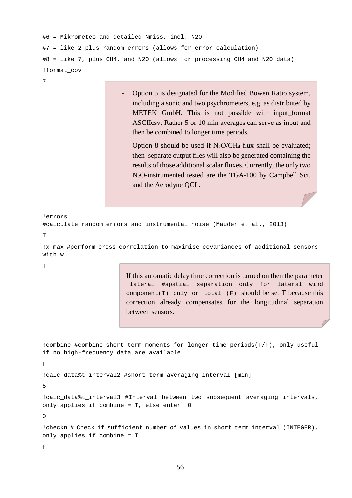```
#6 = Mikrometeo and detailed Nmiss, incl. N2O 
#7 = like 2 plus random errors (allows for error calculation) 
#8 = like 7, plus CH4, and N2O (allows for processing CH4 and N2O data) 
!format_cov
```

```
7
```
- Option 5 is designated for the Modified Bowen Ratio system, including a sonic and two psychrometers, e.g. as distributed by METEK GmbH. This is not possible with input\_format ASCIIcsv. Rather 5 or 10 min averages can serve as input and then be combined to longer time periods.
- Option 8 should be used if  $N_2O/CH_4$  flux shall be evaluated; then separate output files will also be generated containing the results of those additional scalar fluxes. Currently, the only two N2O-instrumented tested are the TGA-100 by Campbell Sci. and the Aerodyne QCL.

!errors

```
#calculate random errors and instrumental noise (Mauder et al., 2013)
```
 $\mathbf T$ 

!x\_max #perform cross correlation to maximise covariances of additional sensors with w

T

If this automatic delay time correction is turned on then the parameter !lateral #spatial separation only for lateral wind component(T) only or total  $(F)$  should be set T because this correction already compensates for the longitudinal separation between sensors.

!combine #combine short-term moments for longer time periods(T/F), only useful if no high-frequency data are available F !calc\_data%t\_interval2 #short-term averaging interval [min]

5

!calc\_data%t\_interval3 #Interval between two subsequent averaging intervals, only applies if combine = T, else enter '0'

 $\Omega$ 

!checkn # Check if sufficient number of values in short term interval (INTEGER), only applies if combine = T

F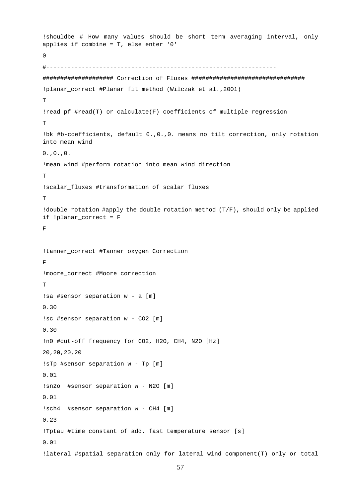```
!shouldbe # How many values should be short term averaging interval, only 
applies if combine = T, else enter '0'
\Omega#-----------------------------------------------------------------
#################### Correction of Fluxes ################################ 
!planar_correct #Planar fit method (Wilczak et al.,2001) 
\mathbf{T}!read_pf #read(T) or calculate(F) coefficients of multiple regression 
T
!bk #b-coefficients, default 0.,0.,0. means no tilt correction, only rotation 
into mean wind
0.00.00.!mean_wind #perform rotation into mean wind direction 
T
!scalar fluxes #transformation of scalar fluxes
\mathbf{T}!double_rotation #apply the double rotation method (T/F), should only be applied 
if !planar_correct = F
F 
!tanner_correct #Tanner oxygen Correction
F
!moore_correct #Moore correction 
\mathbf T!sa #sensor separation w - a [m] 
0.30 
!sc #sensor separation w - CO2 [m] 
0.30 
!n0 #cut-off frequency for CO2, H2O, CH4, N2O [Hz] 
20,20,20,20 
!sTp #sensor separation w - Tp [m] 
0.01 
!sn2o #sensor separation w - N2O [m] 
0.01 
!sch4 #sensor separation w - CH4 [m] 
0.23 
!Tptau #time constant of add. fast temperature sensor [s] 
0.01 
!lateral #spatial separation only for lateral wind component(T) only or total
```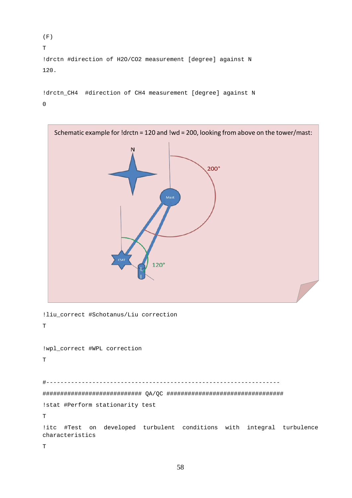```
(F) 
T 
!drctn #direction of H2O/CO2 measurement [degree] against N 
120.
```

```
!drctn_CH4 #direction of CH4 measurement [degree] against N 
0
```
![](_page_57_Figure_2.jpeg)

```
!wpl_correct #WPL correction 
T
```
#------------------------------------------------------------------ ############################ QA/QC ################################# !stat #Perform stationarity test T

!itc #Test on developed turbulent conditions with integral turbulence characteristics

T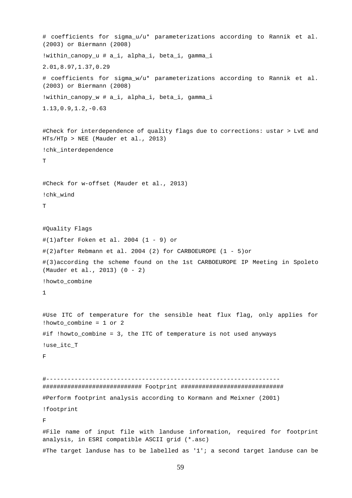```
# coefficients for sigma_u/u* parameterizations according to Rannik et al. 
(2003) or Biermann (2008)
!within_canopy_u # a_i, alpha_i, beta_i, gamma_i 
2.01,8.97,1.37,0.29
# coefficients for sigma_w/u* parameterizations according to Rannik et al. 
(2003) or Biermann (2008)
!within_canopy_w # a_i, alpha_i, beta_i, gamma_i 
1.13,0.9,1.2,-0.63
#Check for interdependence of quality flags due to corrections: ustar > LvE and 
HTs/HTp > NEE (Mauder et al., 2013) 
!chk_interdependence 
T 
#Check for w-offset (Mauder et al., 2013) 
!chk_wind 
\mathbf{T}#Quality Flags 
#(1)after Foken et al. 2004 (1 - 9) or
#(2)after Rebmann et al. 2004 (2) for CARBOEUROPE (1 - 5)or
#(3)according the scheme found on the 1st CARBOEUROPE IP Meeting in Spoleto 
(Mauder et al., 2013) (0 - 2)
!howto_combine
1
#Use ITC of temperature for the sensible heat flux flag, only applies for 
!howto_combine = 1 or 2 
#if !howto_combine = 3, the ITC of temperature is not used anyways 
!use_itc_T 
F 
#------------------------------------------------------------------
############################ Footprint ############################# 
#Perform footprint analysis according to Kormann and Meixner (2001) 
!footprint 
F 
#File name of input file with landuse information, required for footprint 
analysis, in ESRI compatible ASCII grid (*.asc) 
#The target landuse has to be labelled as '1'; a second target landuse can be
```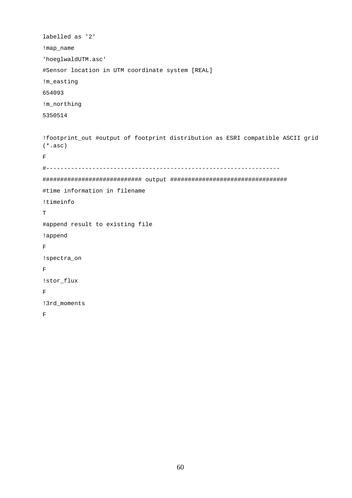```
labelled as '2' 
!map_name 
'hoeglwaldUTM.asc' 
#Sensor location in UTM coordinate system [REAL] 
!m_easting 
654093 
!m_northing 
5350514 
!footprint_out #output of footprint distribution as ESRI compatible ASCII grid 
(*.asc) 
F 
#------------------------------------------------------------------
############################ output #################################
#time information in filename
!timeinfo
T
#append result to existing file
!append
\mathbf F!spectra_on
\overline{\mathrm{F}}!stor_flux
\mathbf F!3rd_moments
\overline{\mathrm{F}}
```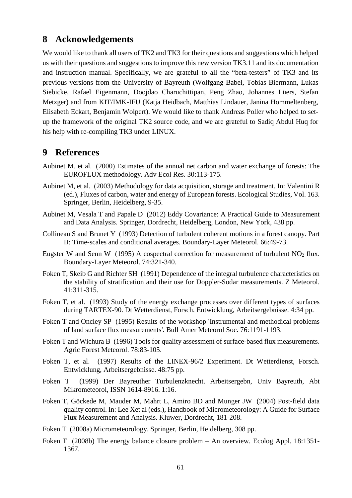# <span id="page-60-0"></span>**8 Acknowledgements**

We would like to thank all users of TK2 and TK3 for their questions and suggestions which helped us with their questions and suggestions to improve this new version TK3.11 and its documentation and instruction manual. Specifically, we are grateful to all the "beta-testers" of TK3 and its previous versions from the University of Bayreuth (Wolfgang Babel, Tobias Biermann, Lukas Siebicke, Rafael Eigenmann, Doojdao Charuchittipan, Peng Zhao, Johannes Lüers, Stefan Metzger) and from KIT/IMK-IFU (Katja Heidbach, Matthias Lindauer, Janina Hommeltenberg, Elisabeth Eckart, Benjamin Wolpert). We would like to thank Andreas Poller who helped to setup the framework of the original TK2 source code, and we are grateful to Sadiq Abdul Huq for his help with re-compiling TK3 under LINUX.

# <span id="page-60-1"></span>**9 References**

- <span id="page-60-7"></span>Aubinet M, et al. (2000) Estimates of the annual net carbon and water exchange of forests: The EUROFLUX methodology. Adv Ecol Res. 30:113-175.
- <span id="page-60-8"></span>Aubinet M, et al. (2003) Methodology for data acquisition, storage and treatment. In: Valentini R (ed.), Fluxes of carbon, water and energy of European forests. Ecological Studies, Vol. 163. Springer, Berlin, Heidelberg, 9-35.
- <span id="page-60-10"></span>Aubinet M, Vesala T and Papale D (2012) Eddy Covariance: A Practical Guide to Measurement and Data Analysis. Springer, Dordrecht, Heidelberg, London, New York, 438 pp.
- <span id="page-60-14"></span>Collineau S and Brunet Y (1993) Detection of turbulent coherent motions in a forest canopy. Part II: Time-scales and conditional averages. Boundary-Layer Meteorol. 66:49-73.
- <span id="page-60-12"></span>Eugster W and Senn W (1995) A cospectral correction for measurement of turbulent  $NO<sub>2</sub>$  flux. Boundary-Layer Meteorol. 74:321-340.
- <span id="page-60-15"></span>Foken T, Skeib G and Richter SH (1991) Dependence of the integral turbulence characteristics on the stability of stratification and their use for Doppler-Sodar measurements. Z Meteorol. 41:311-315.
- <span id="page-60-3"></span>Foken T, et al. (1993) Study of the energy exchange processes over different types of surfaces during TARTEX-90. Dt Wetterdienst, Forsch. Entwicklung, Arbeitsergebnisse. 4:34 pp.
- <span id="page-60-2"></span>Foken T and Oncley SP (1995) Results of the workshop 'Instrumental and methodical problems of land surface flux measurements'. Bull Amer Meteorol Soc. 76:1191-1193.
- <span id="page-60-4"></span>Foken T and Wichura B (1996) Tools for quality assessment of surface-based flux measurements. Agric Forest Meteorol. 78:83-105.
- <span id="page-60-11"></span>Foken T, et al. (1997) Results of the LINEX-96/2 Experiment. Dt Wetterdienst, Forsch. Entwicklung, Arbeitsergebnisse. 48:75 pp.
- <span id="page-60-5"></span>Foken T (1999) Der Bayreuther Turbulenzknecht. Arbeitsergebn, Univ Bayreuth, Abt Mikrometeorol, ISSN 1614-8916. 1:16.
- <span id="page-60-6"></span>Foken T, Göckede M, Mauder M, Mahrt L, Amiro BD and Munger JW (2004) Post-field data quality control. In: Lee Xet al (eds.), Handbook of Micrometeorology: A Guide for Surface Flux Measurement and Analysis. Kluwer, Dordrecht, 181-208.
- <span id="page-60-9"></span>Foken T (2008a) Micrometeorology. Springer, Berlin, Heidelberg, 308 pp.
- <span id="page-60-13"></span>Foken T (2008b) The energy balance closure problem – An overview. Ecolog Appl. 18:1351- 1367.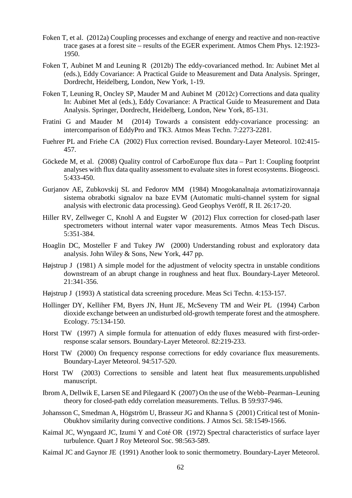- <span id="page-61-17"></span>Foken T, et al. (2012a) Coupling processes and exchange of energy and reactive and non-reactive trace gases at a forest site – results of the EGER experiment. Atmos Chem Phys. 12:1923- 1950.
- <span id="page-61-2"></span>Foken T, Aubinet M and Leuning R (2012b) The eddy-covarianced method. In: Aubinet Met al (eds.), Eddy Covariance: A Practical Guide to Measurement and Data Analysis. Springer, Dordrecht, Heidelberg, London, New York, 1-19.
- <span id="page-61-3"></span>Foken T, Leuning R, Oncley SP, Mauder M and Aubinet M (2012c) Corrections and data quality In: Aubinet Met al (eds.), Eddy Covariance: A Practical Guide to Measurement and Data Analysis. Springer, Dordrecht, Heidelberg, London, New York, 85-131.
- <span id="page-61-1"></span>Fratini G and Mauder M (2014) Towards a consistent eddy-covariance processing: an intercomparison of EddyPro and TK3. Atmos Meas Techn. 7:2273-2281.
- <span id="page-61-12"></span>Fuehrer PL and Friehe CA (2002) Flux correction revised. Boundary-Layer Meteorol. 102:415- 457.
- <span id="page-61-0"></span>Göckede M, et al. (2008) Quality control of CarboEurope flux data – Part 1: Coupling footprint analyses with flux data quality assessment to evaluate sites in forest ecosystems. Biogeosci. 5:433-450.
- <span id="page-61-15"></span>Gurjanov AE, Zubkovskij SL and Fedorov MM (1984) Mnogokanalnaja avtomatizirovannaja sistema obrabotki signalov na baze EVM (Automatic multi-channel system for signal analysis with electronic data processing). Geod Geophys Veröff, R II. 26:17-20.
- <span id="page-61-6"></span>Hiller RV, Zellweger C, Knohl A and Eugster W (2012) Flux correction for closed-path laser spectrometers without internal water vapor measurements. Atmos Meas Tech Discus. 5:351-384.
- <span id="page-61-5"></span>Hoaglin DC, Mosteller F and Tukey JW (2000) Understanding robust and exploratory data analysis. John Wiley & Sons, New York, 447 pp.
- <span id="page-61-11"></span>Højstrup J (1981) A simple model for the adjustment of velocity spectra in unstable conditions downstream of an abrupt change in roughness and heat flux. Boundary-Layer Meteorol. 21:341-356.
- <span id="page-61-4"></span>Højstrup J (1993) A statistical data screening procedure. Meas Sci Techn. 4:153-157.
- <span id="page-61-18"></span>Hollinger DY, Kelliher FM, Byers JN, Hunt JE, McSeveny TM and Weir PL (1994) Carbon dioxide exchange between an undisturbed old-growth temperate forest and the atmosphere. Ecology. 75:134-150.
- <span id="page-61-9"></span>Horst TW (1997) A simple formula for attenuation of eddy fluxes measured with first-orderresponse scalar sensors. Boundary-Layer Meteorol. 82:219-233.
- <span id="page-61-8"></span>Horst TW (2000) On frequency response corrections for eddy covariance flux measurements. Boundary-Layer Meteorol. 94:517-520.
- <span id="page-61-13"></span>Horst TW (2003) Corrections to sensible and latent heat flux measurements.unpublished manuscript.
- <span id="page-61-7"></span>Ibrom A, Dellwik E, Larsen SE and Pilegaard K (2007) On the use of the Webb–Pearman–Leuning theory for closed-path eddy correlation measurements. Tellus. B 59:937-946.
- <span id="page-61-16"></span>Johansson C, Smedman A, Högström U, Brasseur JG and Khanna S (2001) Critical test of Monin-Obukhov similarity during convective conditions. J Atmos Sci. 58:1549-1566.
- <span id="page-61-10"></span>Kaimal JC, Wyngaard JC, Izumi Y and Coté OR (1972) Spectral characteristics of surface layer turbulence. Quart J Roy Meteorol Soc. 98:563-589.
- <span id="page-61-14"></span>Kaimal JC and Gaynor JE (1991) Another look to sonic thermometry. Boundary-Layer Meteorol.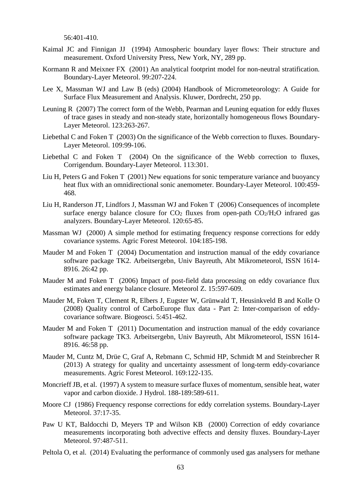56:401-410.

- <span id="page-62-4"></span>Kaimal JC and Finnigan JJ (1994) Atmospheric boundary layer flows: Their structure and measurement. Oxford University Press, New York, NY, 289 pp.
- <span id="page-62-17"></span>Kormann R and Meixner FX (2001) An analytical footprint model for non-neutral stratification. Boundary-Layer Meteorol. 99:207-224.
- <span id="page-62-5"></span>Lee X, Massman WJ and Law B (eds) (2004) Handbook of Micrometeorology: A Guide for Surface Flux Measurement and Analysis. Kluwer, Dordrecht, 250 pp.
- <span id="page-62-14"></span>Leuning R (2007) The correct form of the Webb, Pearman and Leuning equation for eddy fluxes of trace gases in steady and non-steady state, horizontally homogeneous flows Boundary-Layer Meteorol. 123:263-267.
- <span id="page-62-12"></span>Liebethal C and Foken T (2003) On the significance of the Webb correction to fluxes. Boundary-Layer Meteorol. 109:99-106.
- <span id="page-62-13"></span>Liebethal C and Foken T (2004) On the significance of the Webb correction to fluxes, Corrigendum. Boundary-Layer Meteorol. 113:301.
- <span id="page-62-8"></span>Liu H, Peters G and Foken T (2001) New equations for sonic temperature variance and buoyancy heat flux with an omnidirectional sonic anemometer. Boundary-Layer Meteorol. 100:459- 468.
- <span id="page-62-15"></span>Liu H, Randerson JT, Lindfors J, Massman WJ and Foken T (2006) Consequences of incomplete surface energy balance closure for  $CO<sub>2</sub>$  fluxes from open-path  $CO<sub>2</sub>/H<sub>2</sub>O$  infrared gas analyzers. Boundary-Layer Meteorol. 120:65-85.
- <span id="page-62-11"></span>Massman WJ (2000) A simple method for estimating frequency response corrections for eddy covariance systems. Agric Forest Meteorol. 104:185-198.
- <span id="page-62-0"></span>Mauder M and Foken T (2004) Documentation and instruction manual of the eddy covariance software package TK2. Arbeitsergebn, Univ Bayreuth, Abt Mikrometeorol, ISSN 1614- 8916. 26:42 pp.
- <span id="page-62-16"></span>Mauder M and Foken T (2006) Impact of post-field data processing on eddy covariance flux estimates and energy balance closure. Meteorol Z. 15:597-609.
- <span id="page-62-2"></span>Mauder M, Foken T, Clement R, Elbers J, Eugster W, Grünwald T, Heusinkveld B and Kolle O (2008) Quality control of CarboEurope flux data - Part 2: Inter-comparison of eddycovariance software. Biogeosci. 5:451-462.
- <span id="page-62-1"></span>Mauder M and Foken T (2011) Documentation and instruction manual of the eddy covariance software package TK3. Arbeitsergebn, Univ Bayreuth, Abt Mikrometeorol, ISSN 1614- 8916. 46:58 pp.
- <span id="page-62-3"></span>Mauder M, Cuntz M, Drüe C, Graf A, Rebmann C, Schmid HP, Schmidt M and Steinbrecher R (2013) A strategy for quality and uncertainty assessment of long-term eddy-covariance measurements. Agric Forest Meteorol. 169:122-135.
- <span id="page-62-10"></span>Moncrieff JB, et al. (1997) A system to measure surface fluxes of momentum, sensible heat, water vapor and carbon dioxide. J Hydrol. 188-189:589-611.
- <span id="page-62-6"></span>Moore CJ (1986) Frequency response corrections for eddy correlation systems. Boundary-Layer Meteorol. 37:17-35.
- <span id="page-62-9"></span>Paw U KT, Baldocchi D, Meyers TP and Wilson KB (2000) Correction of eddy covariance measurements incorporating both advective effects and density fluxes. Boundary-Layer Meteorol. 97:487-511.
- <span id="page-62-7"></span>Peltola O, et al. (2014) Evaluating the performance of commonly used gas analysers for methane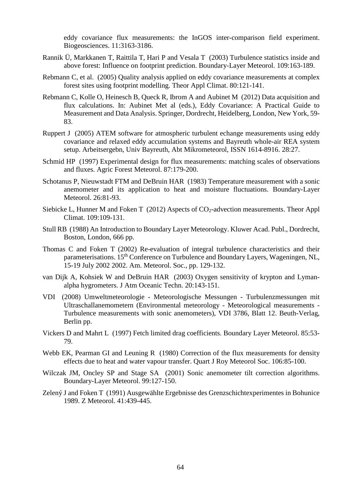eddy covariance flux measurements: the InGOS inter-comparison field experiment. Biogeosciences. 11:3163-3186.

- <span id="page-63-11"></span>Rannik Ü, Markkanen T, Raittila T, Hari P and Vesala T (2003) Turbulence statistics inside and above forest: Influence on footprint prediction. Boundary-Layer Meteorol. 109:163-189.
- <span id="page-63-12"></span>Rebmann C, et al. (2005) Quality analysis applied on eddy covariance measurements at complex forest sites using footprint modelling. Theor Appl Climat. 80:121-141.
- <span id="page-63-5"></span>Rebmann C, Kolle O, Heinesch B, Queck R, Ibrom A and Aubinet M (2012) Data acquisition and flux calculations. In: Aubinet Met al (eds.), Eddy Covariance: A Practical Guide to Measurement and Data Analysis. Springer, Dordrecht, Heidelberg, London, New York, 59- 83.
- <span id="page-63-14"></span>Ruppert J (2005) ATEM software for atmospheric turbulent echange measurements using eddy covariance and relaxed eddy accumulation systems and Bayreuth whole-air REA system setup. Arbeitsergebn, Univ Bayreuth, Abt Mikrometeorol, ISSN 1614-8916. 28:27.
- <span id="page-63-13"></span>Schmid HP (1997) Experimental design for flux measurements: matching scales of observations and fluxes. Agric Forest Meteorol. 87:179-200.
- <span id="page-63-6"></span>Schotanus P, Nieuwstadt FTM and DeBruin HAR (1983) Temperature measurement with a sonic anemometer and its application to heat and moisture fluctuations. Boundary-Layer Meteorol. 26:81-93.
- <span id="page-63-4"></span>Siebicke L, Hunner M and Foken T (2012) Aspects of CO<sub>2</sub>-advection measurements. Theor Appl Climat. 109:109-131.
- <span id="page-63-9"></span>Stull RB (1988) An Introduction to Boundary Layer Meteorology. Kluwer Acad. Publ., Dordrecht, Boston, London, 666 pp.
- <span id="page-63-10"></span>Thomas C and Foken T (2002) Re-evaluation of integral turbulence characteristics and their parameterisations. 15th Conference on Turbulence and Boundary Layers, Wageningen, NL, 15-19 July 2002 2002. Am. Meteorol. Soc., pp. 129-132.
- <span id="page-63-8"></span>van Dijk A, Kohsiek W and DeBruin HAR (2003) Oxygen sensitivity of krypton and Lymanalpha hygrometers. J Atm Oceanic Techn. 20:143-151.
- <span id="page-63-1"></span>VDI (2008) Umweltmeteorologie - Meteorologische Messungen - Turbulenzmessungen mit Ultraschallanemometern (Environmental meteorology - Meteorological measurements - Turbulence measurements with sonic anemometers), VDI 3786, Blatt 12. Beuth-Verlag, Berlin pp.
- <span id="page-63-3"></span>Vickers D and Mahrt L (1997) Fetch limited drag coefficients. Boundary Layer Meteorol. 85:53- 79.
- <span id="page-63-7"></span>Webb EK, Pearman GI and Leuning R (1980) Correction of the flux measurements for density effects due to heat and water vapour transfer. Quart J Roy Meteorol Soc. 106:85-100.
- <span id="page-63-2"></span>Wilczak JM, Oncley SP and Stage SA (2001) Sonic anemometer tilt correction algorithms. Boundary-Layer Meteorol. 99:127-150.
- <span id="page-63-0"></span>Zelený J and Foken T (1991) Ausgewählte Ergebnisse des Grenzschichtexperimentes in Bohunice 1989. Z Meteorol. 41:439-445.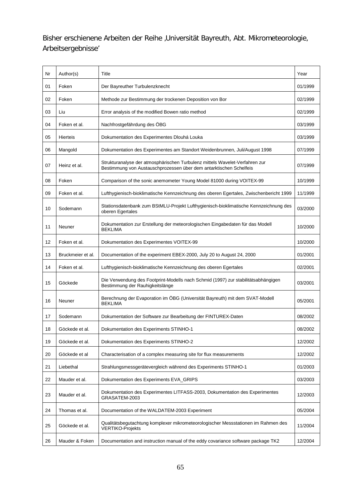Bisher erschienene Arbeiten der Reihe ,Universität Bayreuth, Abt. Mikrometeorologie, Arbeitsergebnisse'

| Nr | Author(s)         | Title                                                                                                                                             | Year    |
|----|-------------------|---------------------------------------------------------------------------------------------------------------------------------------------------|---------|
| 01 | Foken             | Der Bayreuther Turbulenzknecht                                                                                                                    | 01/1999 |
| 02 | Foken             | Methode zur Bestimmung der trockenen Deposition von Bor                                                                                           | 02/1999 |
| 03 | Liu               | Error analysis of the modified Bowen ratio method                                                                                                 | 02/1999 |
| 04 | Foken et al.      | Nachfrostgefährdung des ÖBG                                                                                                                       | 03/1999 |
| 05 | Hierteis          | Dokumentation des Experimentes Dlouhá Louka                                                                                                       | 03/1999 |
| 06 | Mangold           | Dokumentation des Experimentes am Standort Weidenbrunnen, Juli/August 1998                                                                        | 07/1999 |
| 07 | Heinz et al.      | Strukturanalyse der atmosphärischen Turbulenz mittels Wavelet-Verfahren zur<br>Bestimmung von Austauschprozessen über dem antarktischen Schelfeis | 07/1999 |
| 08 | Foken             | Comparison of the sonic anemometer Young Model 81000 during VOITEX-99                                                                             | 10/1999 |
| 09 | Foken et al.      | Lufthygienisch-bioklimatische Kennzeichnung des oberen Egertales, Zwischenbericht 1999                                                            | 11/1999 |
| 10 | Sodemann          | Stationsdatenbank zum BStMLU-Projekt Lufthygienisch-bioklimatische Kennzeichnung des<br>oberen Egertales                                          | 03/2000 |
| 11 | Neuner            | Dokumentation zur Erstellung der meteorologischen Eingabedaten für das Modell<br><b>BEKLIMA</b>                                                   | 10/2000 |
| 12 | Foken et al.      | Dokumentation des Experimentes VOITEX-99                                                                                                          | 10/2000 |
| 13 | Bruckmeier et al. | Documentation of the experiment EBEX-2000, July 20 to August 24, 2000                                                                             | 01/2001 |
| 14 | Foken et al.      | Lufthygienisch-bioklimatische Kennzeichnung des oberen Egertales                                                                                  | 02/2001 |
| 15 | Göckede           | Die Verwendung des Footprint-Modells nach Schmid (1997) zur stabilitätsabhängigen<br>Bestimmung der Rauhigkeitslänge                              | 03/2001 |
| 16 | Neuner            | Berechnung der Evaporation im ÖBG (Universität Bayreuth) mit dem SVAT-Modell<br><b>BEKLIMA</b>                                                    | 05/2001 |
| 17 | Sodemann          | Dokumentation der Software zur Bearbeitung der FINTUREX-Daten                                                                                     | 08/2002 |
| 18 | Göckede et al.    | Dokumentation des Experiments STINHO-1                                                                                                            | 08/2002 |
| 19 | Göckede et al.    | Dokumentation des Experiments STINHO-2                                                                                                            | 12/2002 |
| 20 | Göckede et al     | Characterisation of a complex measuring site for flux measurements                                                                                | 12/2002 |
| 21 | Liebethal         | Strahlungsmessgerätevergleich während des Experiments STINHO-1                                                                                    | 01/2003 |
| 22 | Mauder et al.     | Dokumentation des Experiments EVA_GRIPS                                                                                                           | 03/2003 |
| 23 | Mauder et al.     | Dokumentation des Experimentes LITFASS-2003, Dokumentation des Experimentes<br>GRASATEM-2003                                                      | 12/2003 |
| 24 | Thomas et al.     | Documentation of the WALDATEM-2003 Experiment                                                                                                     | 05/2004 |
| 25 | Göckede et al.    | Qualitätsbegutachtung komplexer mikrometeorologischer Messstationen im Rahmen des<br><b>VERTIKO-Projekts</b>                                      | 11/2004 |
| 26 | Mauder & Foken    | Documentation and instruction manual of the eddy covariance software package TK2                                                                  | 12/2004 |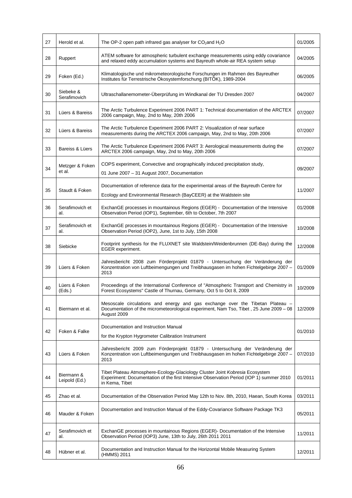| 27 | Herold et al.               | The OP-2 open path infrared gas analyser for $CO2$ and $H2O$                                                                                                                              | 01/2005 |
|----|-----------------------------|-------------------------------------------------------------------------------------------------------------------------------------------------------------------------------------------|---------|
| 28 | Ruppert                     | ATEM software for atmospheric turbulent exchange measurements using eddy covariance<br>and relaxed eddy accumulation systems and Bayreuth whole-air REA system setup                      | 04/2005 |
| 29 | Foken (Ed.)                 | Klimatologische und mikrometeorologische Forschungen im Rahmen des Bayreuther<br>Institutes für Terrestrische Ökosystemforschung (BITÖK), 1989-2004                                       | 06/2005 |
| 30 | Siebeke &<br>Serafimovich   | Ultraschallanemometer-Überprüfung im Windkanal der TU Dresden 2007                                                                                                                        | 04/2007 |
| 31 | Lüers & Bareiss             | The Arctic Turbulence Experiment 2006 PART 1: Technical documentation of the ARCTEX<br>2006 campaign, May, 2nd to May, 20th 2006                                                          | 07/2007 |
| 32 | Lüers & Bareiss             | The Arctic Turbulence Experiment 2006 PART 2: Visualization of near surface<br>measurements during the ARCTEX 2006 campaign, May, 2nd to May, 20th 2006                                   | 07/2007 |
| 33 | Bareiss & Lüers             | The Arctic Turbulence Experiment 2006 PART 3: Aerological measurements during the<br>ARCTEX 2006 campaign, May, 2nd to May, 20th 2006                                                     | 07/2007 |
| 34 | Metzger & Foken<br>et al.   | COPS experiment, Convective and orographically induced precipitation study,<br>01 June 2007 - 31 August 2007, Documentation                                                               | 09/2007 |
| 35 | Staudt & Foken              | Documentation of reference data for the experimental areas of the Bayreuth Centre for<br>Ecology and Environmental Research (BayCEER) at the Waldstein site                               | 11/2007 |
| 36 | Serafimovich et<br>al.      | ExchanGE processes in mountainous Regions (EGER) - Documentation of the Intensive<br>Observation Period (IOP1), September, 6th to October, 7th 2007                                       | 01/2008 |
| 37 | Serafimovich et<br>al.      | ExchanGE processes in mountainous Regions (EGER) - Documentation of the Intensive<br>Observation Period (IOP2), June, 1st to July, 15th 2008                                              | 10/2008 |
| 38 | Siebicke                    | Footprint synthesis for the FLUXNET site Waldstein/Weidenbrunnen (DE-Bay) during the<br>EGER experiment.                                                                                  | 12/2008 |
| 39 | Lüers & Foken               | Jahresbericht 2008 zum Förderprojekt 01879 - Untersuchung der Veränderung der<br>Konzentration von Luftbeimengungen und Treibhausgasen im hohen Fichtelgebirge 2007 -<br>2013             | 01/2009 |
| 40 | Lüers & Foken<br>(Eds.)     | Proceedings of the International Conference of "Atmospheric Transport and Chemistry in<br>Forest Ecosystems" Castle of Thurnau, Germany, Oct 5 to Oct 8, 2009                             | 10/2009 |
| 41 | Biermann et al.             | Mesoscale circulations and energy and gas exchange over the Tibetan Plateau -<br>Documentation of the micrometeorological experiment, Nam Tso, Tibet, 25 June 2009 - 08<br>August 2009    | 12/2009 |
| 42 | Foken & Falke               | Documentation and Instruction Manual<br>for the Krypton Hygrometer Calibration Instrument                                                                                                 | 01/2010 |
| 43 | Lüers & Foken               | Jahresbericht 2009 zum Förderprojekt 01879 - Untersuchung der Veränderung der<br>Konzentration von Luftbeimengungen und Treibhausgasen im hohen Fichtelgebirge 2007 -<br>2013             | 07/2010 |
| 44 | Biermann &<br>Leipold (Ed.) | Tibet Plateau Atmosphere-Ecology-Glaciology Cluster Joint Kobresia Ecosystem<br>Experiment: Documentation of the first Intensive Observation Period (IOP 1) summer 2010<br>in Kema, Tibet | 01/2011 |
| 45 | Zhao et al.                 | Documentation of the Observation Period May 12th to Nov. 8th, 2010, Haean, South Korea                                                                                                    | 03/2011 |
| 46 | Mauder & Foken              | Documentation and Instruction Manual of the Eddy-Covariance Software Package TK3                                                                                                          | 05/2011 |
| 47 | Serafimovich et<br>al.      | ExchanGE processes in mountainous Regions (EGER)- Documentation of the Intensive<br>Observation Period (IOP3) June, 13th to July, 26th 2011 2011                                          | 11/2011 |
| 48 | Hübner et al.               | Documentation and Instruction Manual for the Horizontal Mobile Measuring System<br>(HMMS) 2011                                                                                            | 12/2011 |